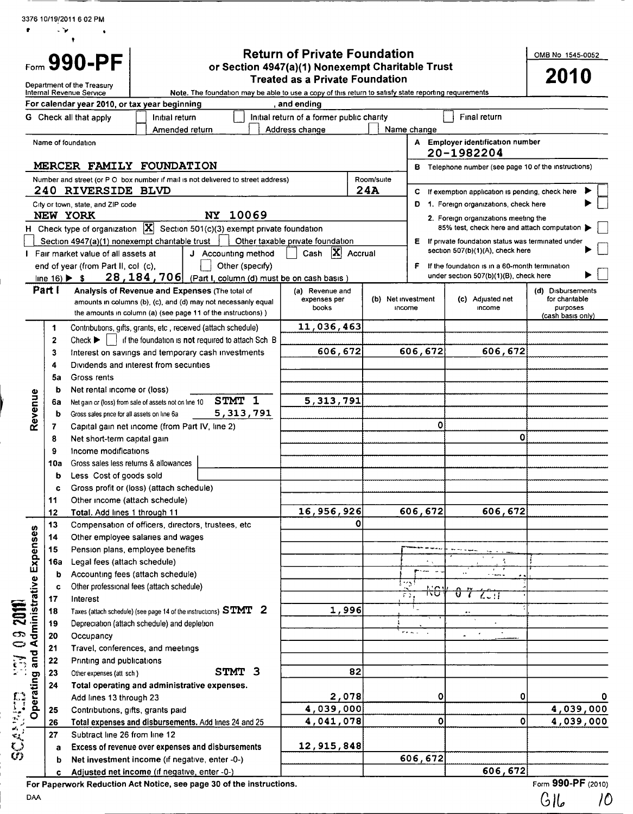|                                                             |                               |                                                                                                      |                                                |                                                                                                                                | <b>Return of Private Foundation</b>       |     |                              |                         |            |                                                                                          | OMB No 1545-0052                                |           |
|-------------------------------------------------------------|-------------------------------|------------------------------------------------------------------------------------------------------|------------------------------------------------|--------------------------------------------------------------------------------------------------------------------------------|-------------------------------------------|-----|------------------------------|-------------------------|------------|------------------------------------------------------------------------------------------|-------------------------------------------------|-----------|
|                                                             |                               | Form 990-PF<br>Department of the Treasury                                                            |                                                | or Section 4947(a)(1) Nonexempt Charitable Trust                                                                               | <b>Treated as a Private Foundation</b>    |     |                              |                         |            |                                                                                          | <b>2010</b>                                     |           |
|                                                             |                               | Internal Revenue Service<br>For calendar year 2010, or tax year beginning                            |                                                | Note. The foundation may be able to use a copy of this return to satisfy state reporting requirements                          | , and ending                              |     |                              |                         |            |                                                                                          |                                                 |           |
|                                                             |                               | G Check all that apply                                                                               | Initial return                                 |                                                                                                                                | Initial return of a former public charity |     |                              |                         |            | Final return                                                                             |                                                 |           |
|                                                             |                               |                                                                                                      | Amended return                                 |                                                                                                                                | Address change                            |     | Name change                  |                         |            |                                                                                          |                                                 |           |
|                                                             |                               | Name of foundation                                                                                   |                                                |                                                                                                                                |                                           |     |                              |                         |            | A Employer identification number<br>20-1982204                                           |                                                 |           |
|                                                             |                               | MERCER FAMILY FOUNDATION                                                                             |                                                |                                                                                                                                |                                           |     |                              | в                       |            | Telephone number (see page 10 of the instructions)                                       |                                                 |           |
|                                                             |                               | <b>240 RIVERSIDE BLVD</b>                                                                            |                                                | Number and street (or P O box number if mail is not delivered to street address)                                               |                                           | 24A | Room/suite                   | c                       |            | If exemption application is pending, check here                                          |                                                 |           |
|                                                             |                               | City or town, state, and ZIP code<br>NEW YORK                                                        |                                                | 10069<br><b>NY</b>                                                                                                             |                                           |     |                              | D                       |            | 1. Foreign organizations, check here<br>2. Foreign organizations meeting the             |                                                 |           |
|                                                             |                               |                                                                                                      |                                                | H Check type of organization $\overline{X}$ Section 501(c)(3) exempt private foundation                                        |                                           |     |                              |                         |            | 85% test, check here and attach computation                                              |                                                 |           |
|                                                             |                               | Section 4947(a)(1) nonexempt charitable trust                                                        |                                                |                                                                                                                                | Other taxable private foundation          |     |                              | Ε.                      |            | If private foundation status was terminated under                                        |                                                 |           |
|                                                             |                               | Fair market value of all assets at                                                                   |                                                | J Accounting method                                                                                                            | $ \mathbf{X} $ Accrual<br>Cash            |     |                              |                         |            | section 507(b)(1)(A), check here                                                         |                                                 |           |
|                                                             | line $16) \triangleright $ \$ | end of year (from Part II, col (c),                                                                  |                                                | Other (specify)<br>28, 184, 706 (Part I, column (d) must be on cash basis)                                                     |                                           |     |                              | F                       |            | If the foundation is in a 60-month termination<br>under section 507(b)(1)(B), check here |                                                 |           |
|                                                             | Part I                        |                                                                                                      | Analysis of Revenue and Expenses (The total of |                                                                                                                                | (a) Revenue and                           |     |                              |                         |            |                                                                                          | (d) Disbursements                               |           |
|                                                             |                               |                                                                                                      |                                                | amounts in columns (b), (c), and (d) may not necessarily equal<br>the amounts in column (a) (see page 11 of the instructions)) | expenses per<br>books                     |     | (b) Net investment<br>income |                         |            | (c) Adjusted net<br>income                                                               | for charitable<br>purposes<br>(cash basis only) |           |
|                                                             | 1                             |                                                                                                      |                                                | Contributions, gifts, grants, etc, received (attach schedule)                                                                  | 11,036,463                                |     |                              |                         |            |                                                                                          |                                                 |           |
|                                                             | $\mathbf{z}$                  | Check $\blacktriangleright$                                                                          |                                                | if the foundation is not required to attach Sch B                                                                              |                                           |     |                              |                         |            |                                                                                          |                                                 |           |
|                                                             | 3                             |                                                                                                      |                                                | Interest on savings and temporary cash investments                                                                             | 606,672                                   |     |                              | 606,672                 |            | 606,672                                                                                  |                                                 |           |
|                                                             | 4                             | Dividends and interest from securities                                                               |                                                |                                                                                                                                |                                           |     |                              |                         |            |                                                                                          |                                                 |           |
|                                                             | 5a                            | Gross rents                                                                                          |                                                |                                                                                                                                |                                           |     |                              |                         |            |                                                                                          |                                                 |           |
|                                                             | b                             | Net rental income or (loss)                                                                          |                                                | STMT 1                                                                                                                         | 5, 313, 791                               |     |                              |                         |            |                                                                                          |                                                 |           |
| Revenue                                                     | 6а<br>b                       | Net gain or (loss) from sale of assets not on line 10<br>Gross sales price for all assets on line 6a |                                                | 5, 313, 791                                                                                                                    |                                           |     |                              |                         |            |                                                                                          |                                                 |           |
|                                                             | 7                             | Capital gain net income (from Part IV, line 2)                                                       |                                                |                                                                                                                                |                                           |     |                              |                         | O          |                                                                                          |                                                 |           |
|                                                             | 8                             | Net short-term capital gain                                                                          |                                                |                                                                                                                                |                                           |     |                              |                         |            | 0                                                                                        |                                                 |           |
|                                                             | 9                             | Income modifications                                                                                 |                                                |                                                                                                                                |                                           |     |                              |                         |            |                                                                                          |                                                 |           |
|                                                             | 10a                           | Gross sales less returns & allowances                                                                |                                                |                                                                                                                                |                                           |     |                              |                         |            |                                                                                          |                                                 |           |
|                                                             | b                             | Less Cost of goods sold                                                                              |                                                |                                                                                                                                |                                           |     |                              |                         |            |                                                                                          |                                                 |           |
|                                                             | c                             | Gross profit or (loss) (attach schedule)                                                             |                                                |                                                                                                                                |                                           |     |                              |                         |            |                                                                                          |                                                 |           |
|                                                             | 11                            | Other income (attach schedule)                                                                       |                                                |                                                                                                                                |                                           |     |                              |                         |            |                                                                                          |                                                 |           |
|                                                             | 12                            | Total. Add lines 1 through 11                                                                        |                                                |                                                                                                                                | 16,956,926                                |     |                              | 606,672                 |            | 606, 672                                                                                 |                                                 |           |
|                                                             | 13                            | Compensation of officers, directors, trustees, etc                                                   |                                                |                                                                                                                                |                                           | 0   |                              |                         |            |                                                                                          |                                                 |           |
|                                                             | 14<br>15                      | Other employee salaries and wages<br>Pension plans, employee benefits                                |                                                |                                                                                                                                |                                           |     |                              |                         |            |                                                                                          |                                                 |           |
|                                                             | 16a                           | Legal fees (attach schedule)                                                                         |                                                |                                                                                                                                |                                           |     |                              |                         |            |                                                                                          |                                                 |           |
|                                                             | b                             | Accounting fees (attach schedule)                                                                    |                                                |                                                                                                                                |                                           |     |                              |                         |            |                                                                                          |                                                 |           |
|                                                             | C                             | Other professional fees (attach schedule)                                                            |                                                |                                                                                                                                |                                           |     | د∼ا                          |                         | <u>r'o</u> |                                                                                          |                                                 |           |
|                                                             | 17                            | Interest                                                                                             |                                                |                                                                                                                                |                                           |     |                              | $\overline{\epsilon}$ , | ᠬᠦ         | $\mathcal{L}$ . $\mathcal{H}$                                                            |                                                 |           |
|                                                             | 18                            |                                                                                                      |                                                | Taxes (attach schedule) (see page 14 of the instructions) $STMT$ 2                                                             | 1,996                                     |     |                              |                         |            |                                                                                          |                                                 |           |
|                                                             | 19                            | Depreciation (attach schedule) and depletion                                                         |                                                |                                                                                                                                |                                           |     |                              | ma acco                 |            |                                                                                          |                                                 |           |
|                                                             | 20                            | Occupancy                                                                                            |                                                |                                                                                                                                |                                           |     |                              |                         |            |                                                                                          |                                                 |           |
| and                                                         | 21                            | Travel, conferences, and meetings                                                                    |                                                |                                                                                                                                |                                           |     |                              |                         |            |                                                                                          |                                                 |           |
| $\frac{1}{2}$ and $\frac{1}{2}$ operating and $\frac{1}{2}$ | 22<br>23                      | Printing and publications<br>Other expenses (att sch)                                                |                                                | STMT 3                                                                                                                         |                                           | 82  |                              |                         |            |                                                                                          |                                                 |           |
|                                                             | 24                            | Total operating and administrative expenses.                                                         |                                                |                                                                                                                                |                                           |     |                              |                         |            |                                                                                          |                                                 |           |
|                                                             |                               | Add lines 13 through 23                                                                              |                                                |                                                                                                                                | 2,078                                     |     |                              |                         | o          | 0                                                                                        |                                                 |           |
| n<br>E                                                      | 25                            | Contributions, gifts, grants paid                                                                    |                                                |                                                                                                                                | 4,039,000                                 |     |                              |                         |            |                                                                                          |                                                 | 4,039,000 |
|                                                             | 26                            |                                                                                                      |                                                | Total expenses and disbursements. Add lines 24 and 25                                                                          | 4,041,078                                 |     |                              |                         | 0          | ٥                                                                                        |                                                 | 4,039,000 |
| વ્                                                          | 27                            | Subtract line 26 from line 12                                                                        |                                                |                                                                                                                                |                                           |     |                              |                         |            |                                                                                          |                                                 |           |
| دي.<br>زون                                                  | a                             |                                                                                                      |                                                | Excess of revenue over expenses and disbursements                                                                              | 12, 915, 848                              |     |                              |                         |            |                                                                                          |                                                 |           |
|                                                             | b                             | Net investment income (if negative, enter -0-)                                                       |                                                |                                                                                                                                |                                           |     |                              | 606,672                 |            |                                                                                          |                                                 |           |

c Adjusted net income (if negative, enter -0-)<br>perwork Reduction Act Notice, see page 30 of the instructions. Form 990-PF (2010) For Paperwork Reduction Act Notice, see page 30 of the instructions. Form 990  $\mathcal{O}$ PF (2010)

3376 10/ 19/2011 <sup>6</sup> 02 PM

.<br>آ

.r,

DA° GIG 10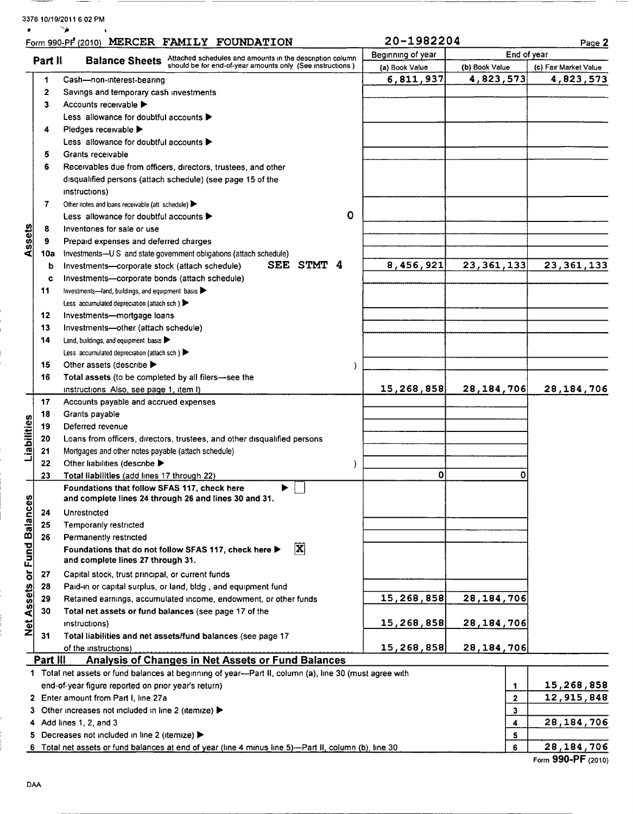# 3376 10/19/2011 6 02 PM

 $\overline{\phantom{a}}$ 

--

|                             |              | Form 990-PF (2010) MERCER FAMILY FOUNDATION                                                            | 20-1982204        |                | Page <sub>2</sub>     |
|-----------------------------|--------------|--------------------------------------------------------------------------------------------------------|-------------------|----------------|-----------------------|
|                             | Part II      | Attached schedules and amounts in the description column                                               | Beginning of year | End of year    |                       |
|                             |              | <b>Balance Sheets</b><br>should be for end-of-year amounts only (See instructions)                     | (a) Book Value    | (b) Book Value | (c) Fair Market Value |
|                             | 1            | Cash-non-interest-bearing                                                                              | 6,811,937         | 4,823,573      | 4,823,573             |
|                             | $\mathbf{2}$ | Savings and temporary cash investments                                                                 |                   |                |                       |
|                             | 3            | Accounts receivable ▶                                                                                  |                   |                |                       |
|                             |              | Less allowance for doubtful accounts ▶                                                                 |                   |                |                       |
|                             |              |                                                                                                        |                   |                |                       |
|                             | 4            | Pledges receivable ▶                                                                                   |                   |                |                       |
|                             |              | Less allowance for doubtful accounts $\blacktriangleright$                                             |                   |                |                       |
|                             | 5            | Grants receivable                                                                                      |                   |                |                       |
|                             | 6            | Receivables due from officers, directors, trustees, and other                                          |                   |                |                       |
|                             |              | disqualified persons (attach schedule) (see page 15 of the                                             |                   |                |                       |
|                             |              | instructions)                                                                                          |                   |                |                       |
|                             | 7            | Other notes and loans receivable (att schedule)                                                        |                   |                |                       |
|                             |              | 0<br>Less allowance for doubtful accounts $\blacktriangleright$                                        |                   |                |                       |
|                             | 8            | Inventories for sale or use                                                                            |                   |                |                       |
| Assets                      | 9            | Prepaid expenses and deferred charges                                                                  |                   |                |                       |
|                             | 10a          | Investments--U S and state government obligations (attach schedule)                                    |                   |                |                       |
|                             | b            | SEE STMT 4<br>Investments-corporate stock (attach schedule)                                            | 8,456,921         | 23, 361, 133   | 23, 361, 133          |
|                             | c            | Investments-corporate bonds (attach schedule)                                                          |                   |                |                       |
|                             | 11           | Investments-land, buildings, and equipment basis                                                       |                   |                |                       |
|                             |              | Less accumulated depreciation (attach sch)                                                             |                   |                |                       |
|                             | 12           |                                                                                                        |                   |                |                       |
|                             |              | Investments-mortgage loans                                                                             |                   |                |                       |
|                             | 13           | Investments-other (attach schedule)                                                                    |                   |                |                       |
|                             | 14           | Land, buildings, and equipment basis $\blacktriangleright$                                             |                   |                |                       |
|                             |              | Less accumulated depreciation (attach sch)                                                             |                   |                |                       |
|                             | 15           | Other assets (describe ▶<br>)                                                                          |                   |                |                       |
|                             | 16           | Total assets (to be completed by all filers—see the                                                    |                   |                |                       |
|                             |              | instructions Also, see page 1, item I)                                                                 | 15,268,858        | 28, 184, 706   | 28, 184, 706          |
|                             | 17           | Accounts payable and accrued expenses                                                                  |                   |                |                       |
|                             | 18           | Grants payable                                                                                         |                   |                |                       |
|                             | 19           | Deferred revenue                                                                                       |                   |                |                       |
| Liabilities                 | 20           | Loans from officers, directors, trustees, and other disqualified persons                               |                   |                |                       |
|                             | 21           | Mortgages and other notes payable (attach schedule)                                                    |                   |                |                       |
|                             | 22           | Other liabilities (describe ><br>)                                                                     |                   |                |                       |
|                             | 23           | Total liabilities (add lines 17 through 22)                                                            | 0                 | Ω              |                       |
|                             |              | Foundations that follow SFAS 117, check here<br>▶                                                      |                   |                |                       |
|                             |              | and complete lines 24 through 26 and lines 30 and 31.                                                  |                   |                |                       |
|                             | 24           | Unrestricted                                                                                           |                   |                |                       |
|                             |              |                                                                                                        |                   |                |                       |
| Net Assets or Fund Balances | 25           | Temporarily restricted                                                                                 |                   |                |                       |
|                             | 26           | Permanently restricted                                                                                 |                   |                |                       |
|                             |              | $\overline{\mathbf{x}}$<br>Foundations that do not follow SFAS 117, check here ▶                       |                   |                |                       |
|                             |              | and complete lines 27 through 31.                                                                      |                   |                |                       |
|                             | 27           | Capital stock, trust principal, or current funds                                                       |                   |                |                       |
|                             | 28           | Paid-in or capital surplus, or land, bldg, and equipment fund                                          |                   |                |                       |
|                             | 29           | Retained earnings, accumulated income, endowment, or other funds                                       | 15,268,858        | 28, 184, 706   |                       |
|                             | 30           | Total net assets or fund balances (see page 17 of the                                                  |                   |                |                       |
|                             |              | instructions)                                                                                          | 15,268,858        | 28, 184, 706   |                       |
|                             | 31           | Total liabilities and net assets/fund balances (see page 17                                            |                   |                |                       |
|                             |              | of the instructions)                                                                                   | 15,268,858        | 28, 184, 706   |                       |
|                             | Part III     | <b>Analysis of Changes in Net Assets or Fund Balances</b>                                              |                   |                |                       |
|                             |              | 1 Total net assets or fund balances at beginning of year-Part II, column (a), line 30 (must agree with |                   |                |                       |
|                             |              | end-of-year figure reported on prior year's return)                                                    |                   | 1              | 15,268,858            |
|                             |              | 2 Enter amount from Part I, line 27a                                                                   |                   | $\mathbf 2$    | 12,915,848            |
|                             |              | 3 Other increases not included in line 2 (itemize) ▶                                                   |                   | 3              |                       |
|                             |              | 4 Add lines 1, 2, and 3                                                                                |                   | 4              | 28, 184, 706          |
|                             |              | 5 Decreases not included in line 2 (itemize) >                                                         |                   | 5              |                       |
|                             |              | 6 Total net assets or fund balances at end of year (line 4 minus line 5)—Part II, column (b), line 30  |                   | 6              | 28, 184, 706          |
|                             |              |                                                                                                        |                   |                |                       |

I.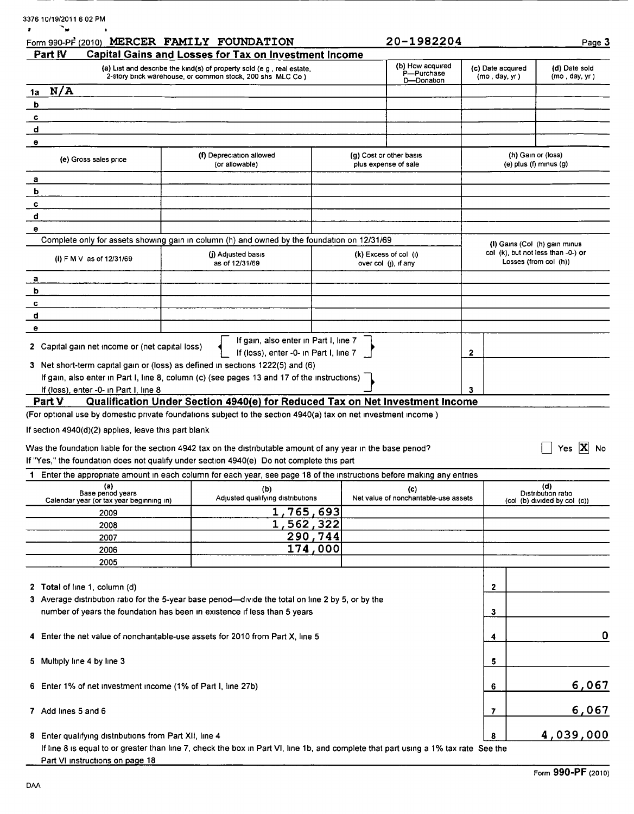| Part IV                                                                                                               | Form 990-PF (2010) MERCER FAMILY FOUNDATION                                                                                    |                        |                                                 | 20-1982204                                   |                   | Page 3                                                              |
|-----------------------------------------------------------------------------------------------------------------------|--------------------------------------------------------------------------------------------------------------------------------|------------------------|-------------------------------------------------|----------------------------------------------|-------------------|---------------------------------------------------------------------|
|                                                                                                                       | Capital Gains and Losses for Tax on Investment Income<br>(a) List and describe the kind(s) of property sold (e g, real estate, |                        |                                                 | (b) How acquired                             | (c) Date acquired | (d) Date sold                                                       |
|                                                                                                                       | 2-story brick warehouse, or common stock, 200 shs MLC Co )                                                                     |                        |                                                 | P-Purchase<br>D-Donation                     | (mo, day, yr)     | (mo, day, yr)                                                       |
| N/A<br>1a                                                                                                             |                                                                                                                                |                        |                                                 |                                              |                   |                                                                     |
| b                                                                                                                     |                                                                                                                                |                        |                                                 |                                              |                   |                                                                     |
| c                                                                                                                     |                                                                                                                                |                        |                                                 |                                              |                   |                                                                     |
| d                                                                                                                     |                                                                                                                                |                        |                                                 |                                              |                   |                                                                     |
| е                                                                                                                     |                                                                                                                                |                        |                                                 |                                              |                   |                                                                     |
| (e) Gross sales price                                                                                                 | (f) Depreciation allowed<br>(or allowable)                                                                                     |                        | (g) Cost or other basis<br>plus expense of sale |                                              |                   | (h) Gain or (loss)<br>(e) plus (f) minus (g)                        |
| а                                                                                                                     |                                                                                                                                |                        |                                                 |                                              |                   |                                                                     |
| ь                                                                                                                     |                                                                                                                                |                        |                                                 |                                              |                   |                                                                     |
| c                                                                                                                     |                                                                                                                                |                        |                                                 |                                              |                   |                                                                     |
| d                                                                                                                     |                                                                                                                                |                        |                                                 |                                              |                   |                                                                     |
| е                                                                                                                     | Complete only for assets showing gain in column (h) and owned by the foundation on 12/31/69                                    |                        |                                                 |                                              |                   |                                                                     |
|                                                                                                                       | (i) Adjusted basis                                                                                                             |                        | $(k)$ Excess of col $(l)$                       |                                              |                   | (I) Gains (Col (h) gain minus<br>col (k), but not less than -0-) or |
| (i) F M V as of 12/31/69                                                                                              | as of 12/31/69                                                                                                                 |                        | over $col$ (j), if any                          |                                              |                   | Losses (from col (h))                                               |
| а                                                                                                                     |                                                                                                                                |                        |                                                 |                                              |                   |                                                                     |
| b                                                                                                                     |                                                                                                                                |                        |                                                 |                                              |                   |                                                                     |
| c                                                                                                                     |                                                                                                                                |                        |                                                 |                                              |                   |                                                                     |
| d                                                                                                                     |                                                                                                                                |                        |                                                 |                                              |                   |                                                                     |
| е                                                                                                                     |                                                                                                                                |                        |                                                 |                                              |                   |                                                                     |
| 2 Capital gain net income or (net capital loss)                                                                       | If gain, also enter in Part I, line 7<br>If (loss), enter -0- in Part I, line 7                                                |                        |                                                 |                                              | $\mathbf{2}$      |                                                                     |
|                                                                                                                       | 3 Net short-term capital gain or (loss) as defined in sections 1222(5) and (6)                                                 |                        |                                                 |                                              |                   |                                                                     |
|                                                                                                                       | If gain, also enter in Part I, line 8, column (c) (see pages 13 and 17 of the instructions)                                    |                        |                                                 |                                              |                   |                                                                     |
| If (loss), enter -0- in Part I, line 8                                                                                |                                                                                                                                |                        |                                                 |                                              | 3                 |                                                                     |
| Part V                                                                                                                |                                                                                                                                |                        |                                                 |                                              |                   |                                                                     |
|                                                                                                                       | Qualification Under Section 4940(e) for Reduced Tax on Net Investment Income                                                   |                        |                                                 |                                              |                   |                                                                     |
|                                                                                                                       | (For optional use by domestic private foundations subject to the section 4940(a) tax on net investment income)                 |                        |                                                 |                                              |                   |                                                                     |
|                                                                                                                       |                                                                                                                                |                        |                                                 |                                              |                   |                                                                     |
|                                                                                                                       |                                                                                                                                |                        |                                                 |                                              |                   |                                                                     |
|                                                                                                                       | Was the foundation liable for the section 4942 tax on the distributable amount of any year in the base period?                 |                        |                                                 |                                              |                   | Yes $ \mathbf{X} $                                                  |
|                                                                                                                       | If "Yes," the foundation does not qualify under section 4940(e) Do not complete this part                                      |                        |                                                 |                                              |                   |                                                                     |
| (a)                                                                                                                   | 1 Enter the appropriate amount in each column for each year, see page 18 of the instructions before making any entries         |                        |                                                 |                                              |                   | (d)                                                                 |
| If section 4940(d)(2) applies, leave this part blank<br>Base period years<br>Calendar year (or tax year beginning in) | (b)<br>Adjusted qualifying distributions                                                                                       |                        |                                                 | (c)<br>Net value of noncharitable-use assets |                   | <b>No</b><br>Distribution ratio<br>(col (b) divided by col (c))     |
| 2009                                                                                                                  |                                                                                                                                |                        |                                                 |                                              |                   |                                                                     |
| 2008                                                                                                                  |                                                                                                                                | 1,765,693<br>1,562,322 |                                                 |                                              |                   |                                                                     |
| 2007                                                                                                                  |                                                                                                                                | 290,744                |                                                 |                                              |                   |                                                                     |
| 2006                                                                                                                  |                                                                                                                                | 174,000                |                                                 |                                              |                   |                                                                     |
| 2005                                                                                                                  |                                                                                                                                |                        |                                                 |                                              |                   |                                                                     |
|                                                                                                                       |                                                                                                                                |                        |                                                 |                                              |                   |                                                                     |
|                                                                                                                       |                                                                                                                                |                        |                                                 |                                              | $\mathbf{z}$      |                                                                     |
|                                                                                                                       | 3 Average distribution ratio for the 5-year base period—divide the total on line 2 by 5, or by the                             |                        |                                                 |                                              |                   |                                                                     |
|                                                                                                                       | number of years the foundation has been in existence if less than 5 years                                                      |                        |                                                 |                                              | 3                 |                                                                     |
|                                                                                                                       |                                                                                                                                |                        |                                                 |                                              |                   |                                                                     |
|                                                                                                                       | 4 Enter the net value of noncharitable-use assets for 2010 from Part X, line 5                                                 |                        |                                                 |                                              | 4                 |                                                                     |
|                                                                                                                       |                                                                                                                                |                        |                                                 |                                              |                   |                                                                     |
|                                                                                                                       |                                                                                                                                |                        |                                                 |                                              | 5                 |                                                                     |
|                                                                                                                       |                                                                                                                                |                        |                                                 |                                              |                   |                                                                     |
| Enter 1% of net investment income (1% of Part I, line 27b)                                                            |                                                                                                                                |                        |                                                 |                                              | 6                 | 0<br>6,067                                                          |
|                                                                                                                       |                                                                                                                                |                        |                                                 |                                              | 7                 |                                                                     |
| 2 Total of line 1, column (d)<br>5 Multiply line 4 by line 3<br>6.<br>7 Add lines 5 and 6                             |                                                                                                                                |                        |                                                 |                                              |                   | 6,067                                                               |

Part VI instructions on page 18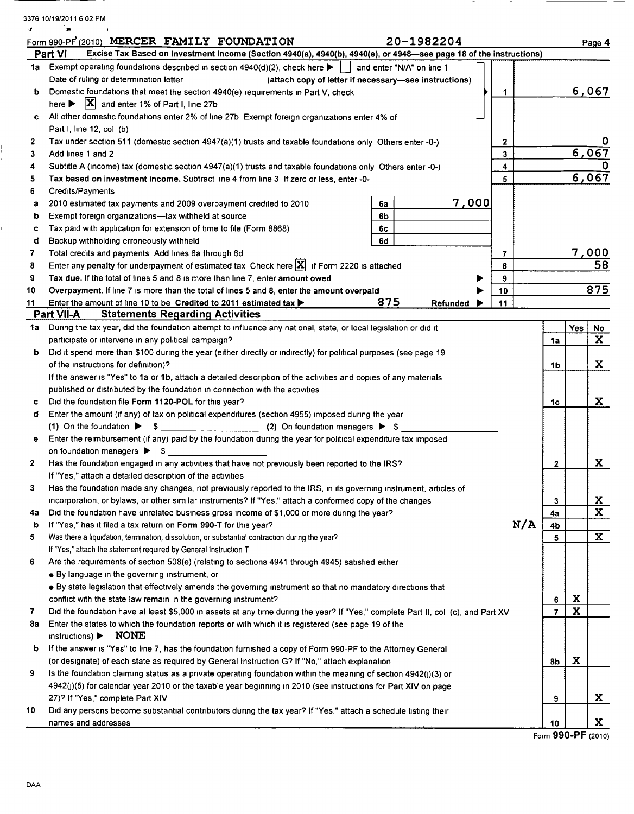| 3376 10/19/2011 6 02 PM |  |
|-------------------------|--|
|                         |  |

ļ.

 $\frac{1}{1}$ 

Ľ,

l.<br>!

|      | Form 990-PF (2010) MERCER FAMILY FOUNDATION<br>20-1982204                                                                        |              |             | Page 4                  |
|------|----------------------------------------------------------------------------------------------------------------------------------|--------------|-------------|-------------------------|
|      | Excise Tax Based on Investment Income (Section 4940(a), 4940(b), 4940(e), or 4948-see page 18 of the instructions)<br>Part VI    |              |             |                         |
| 1a - | Exempt operating foundations described in section $4940(d)(2)$ , check here $\blacktriangleright$   and enter "N/A" on line 1    |              |             |                         |
|      | Date of ruling or determination letter<br>(attach copy of letter if necessary-see instructions)                                  |              |             |                         |
| ь    | Domestic foundations that meet the section 4940(e) requirements in Part V, check<br>1.                                           |              |             | 6,067                   |
|      | here $\triangleright$ $\vert \mathbf{X} \vert$ and enter 1% of Part I, line 27b                                                  |              |             |                         |
| c    | All other domestic foundations enter 2% of line 27b Exempt foreign organizations enter 4% of                                     |              |             |                         |
|      | Part I, line 12, col (b)                                                                                                         |              |             |                         |
| 2    | Tax under section 511 (domestic section 4947(a)(1) trusts and taxable foundations only Others enter -0-)<br>$\mathbf{2}$         |              |             |                         |
| 3    | 3 <sup>1</sup><br>Add lines 1 and 2                                                                                              |              |             | 6,067                   |
| 4    | Subtitle A (income) tax (domestic section 4947(a)(1) trusts and taxable foundations only Others enter -0-)<br>4                  |              |             |                         |
| 5    | 5<br>Tax based on investment income. Subtract line 4 from line 3 If zero or less, enter -0-                                      |              |             | 6,067                   |
| 6    | Credits/Payments                                                                                                                 |              |             |                         |
| a    | <u>7,000</u><br>2010 estimated tax payments and 2009 overpayment credited to 2010<br>6a                                          |              |             |                         |
| b    | Exempt foreign organizations-tax withheld at source<br>6b                                                                        |              |             |                         |
| c    | Tax paid with application for extension of time to file (Form 8868)<br>6с                                                        |              |             |                         |
| đ    | 6d<br>Backup withholding erroneously withheld                                                                                    |              |             |                         |
| 7    | Total credits and payments Add lines 6a through 6d<br>7                                                                          |              |             |                         |
| 8    | Enter any penalty for underpayment of estimated tax Check here $ X $ if Form 2220 is attached<br>8                               |              |             | $\frac{7,000}{58}$      |
| 9    | Tax due. If the total of lines 5 and 8 is more than line 7, enter amount owed<br>9                                               |              |             |                         |
| 10   | Overpayment. If line 7 is more than the total of lines 5 and 8, enter the amount overpaid<br>10                                  |              |             | 875                     |
| 11   | 875<br>Enter the amount of line 10 to be Credited to 2011 estimated tax $\blacktriangleright$<br>11<br>Refunded                  |              |             |                         |
|      | <b>Statements Regarding Activities</b><br>Part VII-A                                                                             |              |             |                         |
| 1a   | During the tax year, did the foundation attempt to influence any national, state, or local legislation or did it                 |              | Yes         | <u>No</u>               |
|      | participate or intervene in any political campaign?                                                                              | 1a           |             | $\mathbf{x}$            |
| b    | Did it spend more than \$100 during the year (either directly or indirectly) for political purposes (see page 19                 |              |             |                         |
|      | of the instructions for definition)?                                                                                             | 1b           |             | X                       |
|      | If the answer is "Yes" to 1a or 1b, attach a detailed description of the activities and copies of any materials                  |              |             |                         |
|      | published or distributed by the foundation in connection with the activities                                                     |              |             |                         |
| c    | Did the foundation file Form 1120-POL for this year?                                                                             | 1c           |             | X                       |
| đ    | Enter the amount (if any) of tax on political expenditures (section 4955) imposed during the year                                |              |             |                         |
|      |                                                                                                                                  |              |             |                         |
| е    | Enter the reimbursement (if any) paid by the foundation during the year for political expenditure tax imposed                    |              |             |                         |
|      | on foundation managers > \$                                                                                                      |              |             |                         |
| 2    | Has the foundation engaged in any activities that have not previously been reported to the IRS?                                  | $\mathbf{2}$ |             | X                       |
|      | If "Yes," attach a detailed description of the activities                                                                        |              |             |                         |
| 3    | Has the foundation made any changes, not previously reported to the IRS, in its governing instrument, articles of                |              |             |                         |
|      | incorporation, or bylaws, or other similar instruments? If "Yes," attach a conformed copy of the changes                         | 3            |             | <u>x</u>                |
| 4a   | Did the foundation have unrelated business gross income of \$1,000 or more during the year?                                      | 4a           |             | $\overline{\mathbf{x}}$ |
| b    | N/A<br>If "Yes," has it filed a tax return on Form 990-T for this year?                                                          | 4b           |             |                         |
| 5    | Was there a liquidation, termination, dissolution, or substantial contraction during the year?                                   | 5            |             | $\mathbf{x}$            |
|      | If "Yes," attach the statement required by General Instruction T                                                                 |              |             |                         |
| 6    | Are the requirements of section 508(e) (relating to sections 4941 through 4945) satisfied either                                 |              |             |                         |
|      | • By language in the governing instrument, or                                                                                    |              |             |                         |
|      | • By state legislation that effectively amends the governing instrument so that no mandatory directions that                     |              |             |                         |
|      | conflict with the state law remain in the governing instrument?                                                                  | 6            | X           |                         |
| 7    | Did the foundation have at least \$5,000 in assets at any time during the year? If "Yes," complete Part II, col (c), and Part XV | 7            | $\mathbf x$ |                         |
| 8а   | Enter the states to which the foundation reports or with which it is registered (see page 19 of the                              |              |             |                         |
|      | NONE<br>instructions)                                                                                                            |              |             |                         |
| b    | If the answer is "Yes" to line 7, has the foundation furnished a copy of Form 990-PF to the Attorney General                     |              |             |                         |
|      | (or designate) of each state as required by General Instruction G? If "No," attach explanation                                   | 8b           | X           |                         |
| 9    | Is the foundation claiming status as a private operating foundation within the meaning of section $4942(j)(3)$ or                |              |             |                         |
|      | 4942(j)(5) for calendar year 2010 or the taxable year beginning in 2010 (see instructions for Part XIV on page                   |              |             |                         |
|      | 27)? If "Yes," complete Part XIV                                                                                                 | 9            |             | X                       |
| 10   | Did any persons become substantial contributors during the tax year? If "Yes," attach a schedule listing their                   |              |             |                         |
|      | names and addresses                                                                                                              | 10           |             | X                       |

Form 990-PF (2010)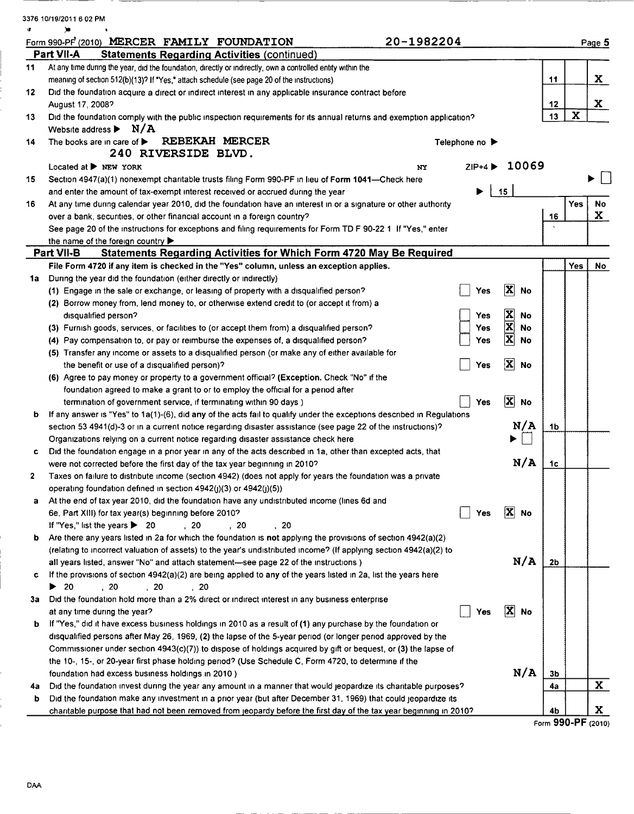|    | 3376 10/19/2011 6 02 PM                                                                                                                                                                    |                |                                              |                |             |              |
|----|--------------------------------------------------------------------------------------------------------------------------------------------------------------------------------------------|----------------|----------------------------------------------|----------------|-------------|--------------|
|    |                                                                                                                                                                                            |                |                                              |                |             |              |
|    | 20-1982204<br>Form 990-PF (2010) MERCER FAMILY FOUNDATION<br>Part VII-A<br><b>Statements Regarding Activities (continued)</b>                                                              |                |                                              |                |             | Page 5       |
| 11 | At any time during the year, did the foundation, directly or indirectly, own a controlled entity within the                                                                                |                |                                              |                |             |              |
|    | meaning of section 512(b)(13)? If "Yes," attach schedule (see page 20 of the instructions)                                                                                                 |                |                                              | 11             |             | X            |
| 12 | Did the foundation acquire a direct or indirect interest in any applicable insurance contract before                                                                                       |                |                                              |                |             |              |
|    | August 17, 2008?                                                                                                                                                                           |                |                                              | 12             |             | $\mathbf{x}$ |
| 13 | Did the foundation comply with the public inspection requirements for its annual returns and exemption application?                                                                        |                |                                              | 13             | $\mathbf x$ |              |
|    | Website address $\blacktriangleright$ N/A                                                                                                                                                  |                |                                              |                |             |              |
| 14 | REBEKAH MERCER<br>The books are in care of $\blacktriangleright$                                                                                                                           | Telephone no ▶ |                                              |                |             |              |
|    | 240 RIVERSIDE BLVD.                                                                                                                                                                        |                |                                              |                |             |              |
|    | Located at $\blacktriangleright$ NEW YORK<br>NY                                                                                                                                            | $ZIP+4$        | 10069                                        |                |             |              |
| 15 | Section 4947(a)(1) nonexempt charitable trusts filing Form 990-PF in lieu of Form 1041-Check here                                                                                          |                |                                              |                |             |              |
|    | and enter the amount of tax-exempt interest received or accrued during the year                                                                                                            |                | 15                                           |                |             |              |
| 16 | At any time during calendar year 2010, did the foundation have an interest in or a signature or other authority                                                                            |                |                                              |                | Yes         | <b>No</b>    |
|    | over a bank, securities, or other financial account in a foreign country?                                                                                                                  |                |                                              | 16             |             | X            |
|    | See page 20 of the instructions for exceptions and filing requirements for Form TD F 90-22 1 If "Yes," enter                                                                               |                |                                              |                |             |              |
|    | the name of the foreign country $\blacktriangleright$                                                                                                                                      |                |                                              |                |             |              |
|    | <b>Statements Regarding Activities for Which Form 4720 May Be Required</b><br>Part VII-B                                                                                                   |                |                                              |                |             |              |
|    | File Form 4720 if any item is checked in the "Yes" column, unless an exception applies.                                                                                                    |                |                                              |                | Yes         | No           |
| 1a | During the year did the foundation (either directly or indirectly)                                                                                                                         |                |                                              |                |             |              |
|    | (1) Engage in the sale or exchange, or leasing of property with a disqualified person?                                                                                                     | Yes            | $\vert \mathbf{X} \vert$<br>No               |                |             |              |
|    | (2) Borrow money from, lend money to, or otherwise extend credit to (or accept it from) a                                                                                                  |                |                                              |                |             |              |
|    | disqualified person?                                                                                                                                                                       | <b>Yes</b>     | $\frac{\mathbf{X}}{\mathbf{X}}$<br><b>No</b> |                |             |              |
|    | (3) Furnish goods, services, or facilities to (or accept them from) a disqualified person?                                                                                                 | Yes            | <b>No</b>                                    |                |             |              |
|    | (4) Pay compensation to, or pay or reimburse the expenses of, a disqualified person?                                                                                                       | Yes            | $\overline{\mathbf{x}}$<br>No                |                |             |              |
|    | (5) Transfer any income or assets to a disqualified person (or make any of either available for                                                                                            |                |                                              |                |             |              |
|    | the benefit or use of a disqualified person)?                                                                                                                                              | Yes            | $ \mathbf{X} $<br><b>No</b>                  |                |             |              |
|    | (6) Agree to pay money or property to a government official? (Exception. Check "No" if the                                                                                                 |                |                                              |                |             |              |
|    | foundation agreed to make a grant to or to employ the official for a period after                                                                                                          |                |                                              |                |             |              |
|    | termination of government service, if terminating within 90 days)                                                                                                                          | Yes            | $\mathbf{x}$<br><b>No</b>                    |                |             |              |
| b  | If any answer is "Yes" to 1a(1)-(6), did any of the acts fail to qualify under the exceptions described in Regulations                                                                     |                | N/A                                          |                |             |              |
|    | section 53 4941(d)-3 or in a current notice regarding disaster assistance (see page 22 of the instructions)?                                                                               |                |                                              | 1b             |             |              |
|    | Organizations relying on a current notice regarding disaster assistance check here                                                                                                         |                |                                              |                |             |              |
| c  | Did the foundation engage in a prior year in any of the acts described in 1a, other than excepted acts, that<br>were not corrected before the first day of the tax year beginning in 2010? |                | N/A                                          | 1c             |             |              |
| 2  | Taxes on failure to distribute income (section 4942) (does not apply for years the foundation was a private                                                                                |                |                                              |                |             |              |
|    | operating foundation defined in section $4942(j)(3)$ or $4942(j)(5)$ )                                                                                                                     |                |                                              |                |             |              |
| a  | At the end of tax year 2010, did the foundation have any undistributed income (lines 6d and                                                                                                |                |                                              |                |             |              |
|    | 6e, Part XIII) for tax year(s) beginning before 2010?                                                                                                                                      | Yes            | $ \mathbf{X} $<br>No                         |                |             |              |
|    | If "Yes," list the years $\triangleright$ 20<br>.20<br>, 20<br>, 20                                                                                                                        |                |                                              |                |             |              |
| b  | Are there any years listed in 2a for which the foundation is not applying the provisions of section 4942(a)(2)                                                                             |                |                                              |                |             |              |
|    | (relating to incorrect valuation of assets) to the year's undistributed income? (If applying section 4942(a)(2) to                                                                         |                |                                              |                |             |              |
|    | all years listed, answer "No" and attach statement-see page 22 of the instructions)                                                                                                        |                | N/A                                          | 2 <sub>b</sub> |             |              |
| c. | If the provisions of section 4942(a)(2) are being applied to any of the years listed in 2a, list the years here                                                                            |                |                                              |                |             |              |
|    | $\blacktriangleright$ 20<br>, 20<br>, 20<br>, 20                                                                                                                                           |                |                                              |                |             |              |
| за | Did the foundation hold more than a 2% direct or indirect interest in any business enterprise                                                                                              |                |                                              |                |             |              |
|    | at any time during the year?                                                                                                                                                               | Yes            | $ \mathbf{X} $<br>No                         |                |             |              |
| b  | If "Yes," did it have excess business holdings in 2010 as a result of (1) any purchase by the foundation or                                                                                |                |                                              |                |             |              |
|    | disqualified persons after May 26, 1969, (2) the lapse of the 5-year period (or longer period approved by the                                                                              |                |                                              |                |             |              |
|    | Commissioner under section 4943(c)(7)) to dispose of holdings acquired by gift or bequest, or (3) the lapse of                                                                             |                |                                              |                |             |              |
|    | the 10-, 15-, or 20-year first phase holding period? (Use Schedule C, Form 4720, to determine if the                                                                                       |                |                                              |                |             |              |
|    | foundation had excess business holdings in 2010)                                                                                                                                           |                | N/A                                          | 3 <sub>b</sub> |             |              |
| 4а | Did the foundation invest during the year any amount in a manner that would jeopardize its charitable purposes?                                                                            |                |                                              | 4a             |             | $\mathbf{x}$ |
| b  | Did the foundation make any investment in a prior year (but after December 31, 1969) that could jeopardize its                                                                             |                |                                              |                |             |              |
|    | charitable purpose that had not been removed from jeopardy before the first day of the tax year beginning in 2010?                                                                         |                |                                              | 4b             |             | X.           |

|  |  |  | Form 990-PF (2010) |
|--|--|--|--------------------|
|--|--|--|--------------------|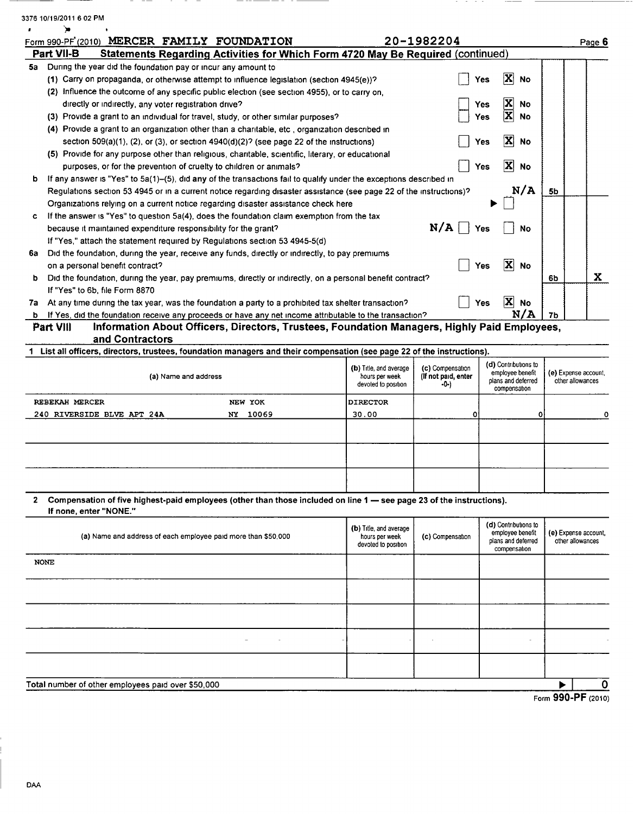| Form 990-PF (2010) MERCER FAMILY FOUNDATION                                                                                                                                                                                 |                                                                                              |                                          | 20-1982204                  |                                                   |    | Page 6                                   |
|-----------------------------------------------------------------------------------------------------------------------------------------------------------------------------------------------------------------------------|----------------------------------------------------------------------------------------------|------------------------------------------|-----------------------------|---------------------------------------------------|----|------------------------------------------|
| Part VII-B                                                                                                                                                                                                                  | Statements Regarding Activities for Which Form 4720 May Be Required (continued)              |                                          |                             |                                                   |    |                                          |
| 5a During the year did the foundation pay or incur any amount to                                                                                                                                                            |                                                                                              |                                          |                             |                                                   |    |                                          |
| (1) Carry on propaganda, or otherwise attempt to influence legislation (section 4945(e))?                                                                                                                                   |                                                                                              |                                          |                             | X<br>No<br>Yes                                    |    |                                          |
| (2) Influence the outcome of any specific public election (see section 4955), or to carry on,                                                                                                                               |                                                                                              |                                          |                             |                                                   |    |                                          |
| directly or indirectly, any voter registration drive?                                                                                                                                                                       |                                                                                              |                                          |                             | No<br>Yes<br>$\overline{\mathbf{x}}$<br>Yes<br>No |    |                                          |
| (3) Provide a grant to an individual for travel, study, or other similar purposes?<br>(4) Provide a grant to an organization other than a charitable, etc, organization described in                                        |                                                                                              |                                          |                             |                                                   |    |                                          |
| section $509(a)(1)$ , (2), or (3), or section $4940(d)(2)$ ? (see page 22 of the instructions)                                                                                                                              |                                                                                              |                                          |                             | $ \mathbf{X} $<br>Yes<br>No                       |    |                                          |
| (5) Provide for any purpose other than religious, charitable, scientific, literary, or educational                                                                                                                          |                                                                                              |                                          |                             |                                                   |    |                                          |
| purposes, or for the prevention of cruelty to children or animals?                                                                                                                                                          |                                                                                              |                                          |                             | X<br>Yes<br>No                                    |    |                                          |
| If any answer is "Yes" to 5a(1)-(5), did any of the transactions fail to qualify under the exceptions described in<br>b                                                                                                     |                                                                                              |                                          |                             |                                                   |    |                                          |
| Regulations section 53 4945 or in a current notice regarding disaster assistance (see page 22 of the instructions)?                                                                                                         |                                                                                              |                                          |                             | N/A                                               | 5b |                                          |
| Organizations relying on a current notice regarding disaster assistance check here                                                                                                                                          |                                                                                              |                                          |                             |                                                   |    |                                          |
| If the answer is "Yes" to question 5a(4), does the foundation claim exemption from the tax<br>c.                                                                                                                            |                                                                                              |                                          |                             |                                                   |    |                                          |
| because it maintained expenditure responsibility for the grant?                                                                                                                                                             |                                                                                              |                                          | N/A                         | Yes<br>No                                         |    |                                          |
| If "Yes," attach the statement required by Regulations section 53 4945-5(d)                                                                                                                                                 |                                                                                              |                                          |                             |                                                   |    |                                          |
| 6a Did the foundation, during the year, receive any funds, directly or indirectly, to pay premiums                                                                                                                          |                                                                                              |                                          |                             |                                                   |    |                                          |
| on a personal benefit contract?                                                                                                                                                                                             |                                                                                              |                                          |                             | $ \mathbf{X} $<br>Yes<br>No                       |    |                                          |
| Did the foundation, during the year, pay premiums, directly or indirectly, on a personal benefit contract?<br>b.                                                                                                            |                                                                                              |                                          |                             |                                                   | 6b | X                                        |
| If "Yes" to 6b, file Form 8870                                                                                                                                                                                              |                                                                                              |                                          |                             | ΙXΙ<br>Yes                                        |    |                                          |
| 7a At any time during the tax year, was the foundation a party to a prohibited tax shelter transaction?<br><b>b</b> If Yes, did the foundation receive any proceeds or have any net income attributable to the transaction? |                                                                                              |                                          |                             | <b>No</b><br>N/A                                  | 7b |                                          |
| Part VIII                                                                                                                                                                                                                   | Information About Officers, Directors, Trustees, Foundation Managers, Highly Paid Employees, |                                          |                             |                                                   |    |                                          |
| and Contractors                                                                                                                                                                                                             |                                                                                              |                                          |                             |                                                   |    |                                          |
| 1 List all officers, directors, trustees, foundation managers and their compensation (see page 22 of the instructions).                                                                                                     |                                                                                              |                                          |                             |                                                   |    |                                          |
|                                                                                                                                                                                                                             |                                                                                              | (b) Title, and average                   | (c) Compensation            | (d) Contributions to                              |    |                                          |
| (a) Name and address                                                                                                                                                                                                        |                                                                                              | hours per week<br>devoted to position    | (If not paid, enter<br>-0-) | employee benefit<br>plans and deferred            |    | (e) Expense account,<br>other allowances |
|                                                                                                                                                                                                                             |                                                                                              |                                          |                             | compensation                                      |    |                                          |
| REBEKAH MERCER                                                                                                                                                                                                              | NEW YOK                                                                                      | <b>DIRECTOR</b>                          |                             |                                                   |    |                                          |
| 240 RIVERSIDE BLVE APT 24A                                                                                                                                                                                                  | 10069<br>NY                                                                                  | 30.00                                    | 0                           | ٥                                                 |    |                                          |
|                                                                                                                                                                                                                             |                                                                                              |                                          |                             |                                                   |    |                                          |
|                                                                                                                                                                                                                             |                                                                                              |                                          |                             |                                                   |    |                                          |
|                                                                                                                                                                                                                             |                                                                                              |                                          |                             |                                                   |    |                                          |
|                                                                                                                                                                                                                             |                                                                                              |                                          |                             |                                                   |    |                                          |
|                                                                                                                                                                                                                             |                                                                                              |                                          |                             |                                                   |    |                                          |
|                                                                                                                                                                                                                             |                                                                                              |                                          |                             |                                                   |    |                                          |
|                                                                                                                                                                                                                             |                                                                                              |                                          |                             |                                                   |    |                                          |
| Compensation of five highest-paid employees (other than those included on line 1 – see page 23 of the instructions).<br>$\mathbf{2}$<br>If none, enter "NONE."                                                              |                                                                                              |                                          |                             |                                                   |    |                                          |
|                                                                                                                                                                                                                             |                                                                                              |                                          |                             | (d) Contributions to                              |    |                                          |
| (a) Name and address of each employee paid more than \$50,000                                                                                                                                                               |                                                                                              | (b) Title, and average<br>hours per week | (c) Compensation            | employee benefit                                  |    | (e) Expense account,                     |
|                                                                                                                                                                                                                             |                                                                                              | devoted to position                      |                             | plans and deferred<br>compensation                |    | other allowances                         |
|                                                                                                                                                                                                                             |                                                                                              |                                          |                             |                                                   |    |                                          |
|                                                                                                                                                                                                                             |                                                                                              |                                          |                             |                                                   |    |                                          |
| <b>NONE</b>                                                                                                                                                                                                                 |                                                                                              |                                          |                             |                                                   |    |                                          |
|                                                                                                                                                                                                                             |                                                                                              |                                          |                             |                                                   |    |                                          |
|                                                                                                                                                                                                                             |                                                                                              |                                          |                             |                                                   |    |                                          |

Total number of other employees paid over \$50,000 ► <sup>1</sup> 0

 $\overline{\smash{\triangleright} \hspace{0.2cm} \rightharpoonup \hspace{0.2cm}} \overline{\smash{\triangleright} \hspace{0.2cm} \rightharpoonup \hspace{0.2cm}} \overline{\smash{\triangleright} \hspace{0.2cm}}$  Form 990-PF (2010)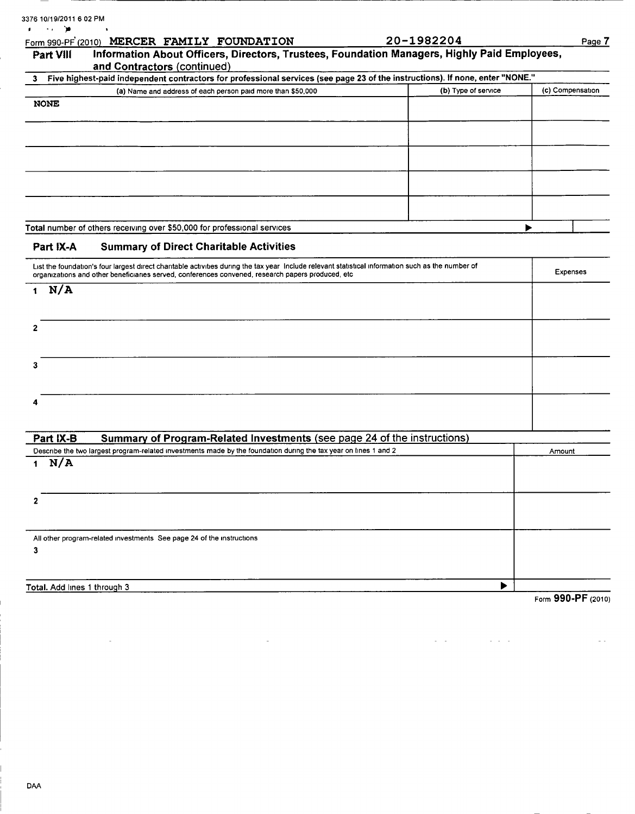|              | Form 990-PF (2010) MERCER FAMILY FOUNDATION                                                                                                                                                                                                             | 20-1982204          | Page 7           |
|--------------|---------------------------------------------------------------------------------------------------------------------------------------------------------------------------------------------------------------------------------------------------------|---------------------|------------------|
| Part VIII    | Information About Officers, Directors, Trustees, Foundation Managers, Highly Paid Employees,<br>and Contractors (continued)                                                                                                                             |                     |                  |
| З.           | Five highest-paid independent contractors for professional services (see page 23 of the instructions). If none, enter "NONE."                                                                                                                           |                     |                  |
|              | (a) Name and address of each person paid more than \$50,000                                                                                                                                                                                             | (b) Type of service | (c) Compensation |
| <b>NONE</b>  |                                                                                                                                                                                                                                                         |                     |                  |
|              |                                                                                                                                                                                                                                                         |                     |                  |
|              |                                                                                                                                                                                                                                                         |                     |                  |
|              |                                                                                                                                                                                                                                                         |                     |                  |
|              |                                                                                                                                                                                                                                                         |                     |                  |
|              | Total number of others receiving over \$50,000 for professional services                                                                                                                                                                                |                     |                  |
| Part IX-A    | <b>Summary of Direct Charitable Activities</b>                                                                                                                                                                                                          |                     |                  |
|              | List the foundation's four largest direct charitable activities during the tax year Include relevant statistical information such as the number of<br>organizations and other beneficiaries served, conferences convened, research papers produced, etc |                     | <b>Expenses</b>  |
| N/A<br>1     |                                                                                                                                                                                                                                                         |                     |                  |
| 2            |                                                                                                                                                                                                                                                         |                     |                  |
| 3            |                                                                                                                                                                                                                                                         |                     |                  |
|              |                                                                                                                                                                                                                                                         |                     |                  |
| Part IX-B    | Summary of Program-Related Investments (see page 24 of the instructions)                                                                                                                                                                                |                     |                  |
|              | Describe the two largest program-related investments made by the foundation during the tax year on lines 1 and 2                                                                                                                                        |                     | Amount           |
| N/A<br>1     |                                                                                                                                                                                                                                                         |                     |                  |
| $\mathbf{2}$ |                                                                                                                                                                                                                                                         |                     |                  |
| 3            | All other program-related investments See page 24 of the instructions                                                                                                                                                                                   |                     |                  |
|              |                                                                                                                                                                                                                                                         |                     |                  |
|              |                                                                                                                                                                                                                                                         |                     |                  |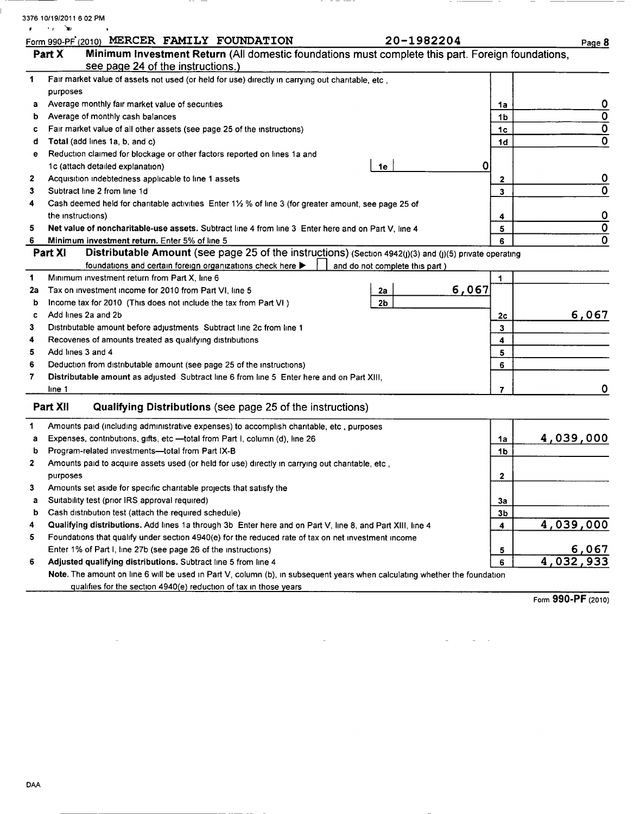|          | Form 990-PF (2010) MERCER FAMILY FOUNDATION                                                                                     |  |  |                | 20-1982204                     |       |                   | Page 8                         |
|----------|---------------------------------------------------------------------------------------------------------------------------------|--|--|----------------|--------------------------------|-------|-------------------|--------------------------------|
| Part X   | Minimum Investment Return (All domestic foundations must complete this part. Foreign foundations,                               |  |  |                |                                |       |                   |                                |
|          | see page 24 of the instructions.)                                                                                               |  |  |                |                                |       |                   |                                |
|          | Fair market value of assets not used (or held for use) directly in carrying out charitable, etc,                                |  |  |                |                                |       |                   |                                |
| purposes |                                                                                                                                 |  |  |                |                                |       |                   |                                |
| а        | Average monthly fair market value of securities                                                                                 |  |  |                |                                |       | 1a                | 0<br>$\overline{\mathfrak{o}}$ |
| b        | Average of monthly cash balances                                                                                                |  |  |                |                                |       | 1b                | $\overline{\mathfrak{o}}$      |
| c        | Fair market value of all other assets (see page 25 of the instructions)                                                         |  |  |                |                                |       | 1 <sub>c</sub>    |                                |
| d        | Total (add lines 1a, b, and c)<br>Reduction claimed for blockage or other factors reported on lines 1a and                      |  |  |                |                                |       | 1 <sub>d</sub>    |                                |
| е        | 1c (attach detailed explanation)                                                                                                |  |  |                |                                | 0     |                   |                                |
| 2        | Acquisition indebtedness applicable to line 1 assets                                                                            |  |  | 1е             |                                |       |                   | 0                              |
|          | Subtract line 2 from line 1d                                                                                                    |  |  |                |                                |       | $\mathbf{2}$<br>3 |                                |
|          | Cash deemed held for charitable activities Enter 1½ % of line 3 (for greater amount, see page 25 of                             |  |  |                |                                |       |                   |                                |
|          | the instructions)                                                                                                               |  |  |                |                                |       | 4                 | 0                              |
|          | Net value of noncharitable-use assets. Subtract line 4 from line 3 Enter here and on Part V, line 4                             |  |  |                |                                |       | 5                 | $\overline{\mathfrak{o}}$      |
|          | Minimum investment return. Enter 5% of line 5                                                                                   |  |  |                |                                |       | 6                 |                                |
| Part XI  | <b>Distributable Amount (see page 25 of the instructions) (Section 4942(j)(3) and (j)(5) private operating</b>                  |  |  |                |                                |       |                   |                                |
|          | foundations and certain foreign organizations check here >                                                                      |  |  |                | and do not complete this part) |       |                   |                                |
|          | Minimum investment return from Part X, line 6                                                                                   |  |  |                |                                |       | 1                 |                                |
| 2a       | Tax on investment income for 2010 from Part VI, line 5                                                                          |  |  | 2a             |                                | 6,067 |                   |                                |
| b        | Income tax for 2010 (This does not include the tax from Part VI)                                                                |  |  | 2 <sub>b</sub> |                                |       |                   |                                |
| c        | Add lines 2a and 2b                                                                                                             |  |  |                |                                |       | 2c                | 6,067                          |
|          | Distributable amount before adjustments Subtract line 2c from line 1                                                            |  |  |                |                                |       | 3                 |                                |
|          | Recoveries of amounts treated as qualifying distributions                                                                       |  |  |                |                                |       | 4                 |                                |
|          | Add lines 3 and 4                                                                                                               |  |  |                |                                |       | 5                 |                                |
|          | Deduction from distributable amount (see page 25 of the instructions)                                                           |  |  |                |                                |       | 6                 |                                |
|          | Distributable amount as adjusted Subtract line 6 from line 5 Enter here and on Part XIII,                                       |  |  |                |                                |       |                   |                                |
| line 1   |                                                                                                                                 |  |  |                |                                |       | $\overline{7}$    |                                |
| Part XII | Qualifying Distributions (see page 25 of the instructions)                                                                      |  |  |                |                                |       |                   |                                |
|          |                                                                                                                                 |  |  |                |                                |       |                   |                                |
|          | Amounts paid (including administrative expenses) to accomplish charitable, etc, purposes                                        |  |  |                |                                |       |                   |                                |
| a        | Expenses, contributions, gifts, etc -total from Part I, column (d), line 26<br>Program-related investments-total from Part IX-B |  |  |                |                                |       | 1a                | 4,039,000                      |
| b        |                                                                                                                                 |  |  |                |                                |       | 1b                |                                |
|          | Amounts paid to acquire assets used (or held for use) directly in carrying out charitable, etc                                  |  |  |                |                                |       |                   |                                |
| purposes | Amounts set aside for specific charitable projects that satisfy the                                                             |  |  |                |                                |       | $\mathbf{2}$      |                                |
|          | Suitability test (prior IRS approval required)                                                                                  |  |  |                |                                |       |                   |                                |
| а<br>b   | Cash distribution test (attach the required schedule)                                                                           |  |  |                |                                |       | Зa                |                                |
|          | Qualifying distributions. Add lines 1a through 3b Enter here and on Part V, line 8, and Part XIII, line 4                       |  |  |                |                                |       | 3b<br>4           | 4,039,000                      |
|          | Foundations that qualify under section 4940(e) for the reduced rate of tax on net investment income                             |  |  |                |                                |       |                   |                                |
|          | Enter 1% of Part I, line 27b (see page 26 of the instructions)                                                                  |  |  |                |                                |       |                   |                                |
|          |                                                                                                                                 |  |  |                |                                |       | 5                 | 6,067                          |
|          | Adjusted qualifying distributions. Subtract line 5 from line 4                                                                  |  |  |                |                                |       | 6                 | 4,032,93                       |

 $\label{eq:2.1} \frac{1}{\sqrt{2}}\left(\frac{1}{\sqrt{2}}\right)^{2} \left(\frac{1}{\sqrt{2}}\right)^{2} \left(\frac{1}{\sqrt{2}}\right)^{2} \left(\frac{1}{\sqrt{2}}\right)^{2} \left(\frac{1}{\sqrt{2}}\right)^{2} \left(\frac{1}{\sqrt{2}}\right)^{2} \left(\frac{1}{\sqrt{2}}\right)^{2} \left(\frac{1}{\sqrt{2}}\right)^{2} \left(\frac{1}{\sqrt{2}}\right)^{2} \left(\frac{1}{\sqrt{2}}\right)^{2} \left(\frac{1}{\sqrt{2}}\right)^{2} \left(\$ 

Form 990-PF (2010)

 $\mathcal{L}(\mathbf{z})$  , and  $\mathcal{L}(\mathbf{z})$ 

 $\mathcal{L}^{\mathcal{L}}(\mathcal{L}^{\mathcal{L}}(\mathcal{L}^{\mathcal{L}}(\mathcal{L}^{\mathcal{L}}(\mathcal{L}^{\mathcal{L}}(\mathcal{L}^{\mathcal{L}}(\mathcal{L}^{\mathcal{L}}(\mathcal{L}^{\mathcal{L}}(\mathcal{L}^{\mathcal{L}}(\mathcal{L}^{\mathcal{L}}(\mathcal{L}^{\mathcal{L}}(\mathcal{L}^{\mathcal{L}}(\mathcal{L}^{\mathcal{L}}(\mathcal{L}^{\mathcal{L}}(\mathcal{L}^{\mathcal{L}}(\mathcal{L}^{\mathcal{L}}(\mathcal{L}^{\mathcal{L$ 

 $\overline{\phantom{a}}$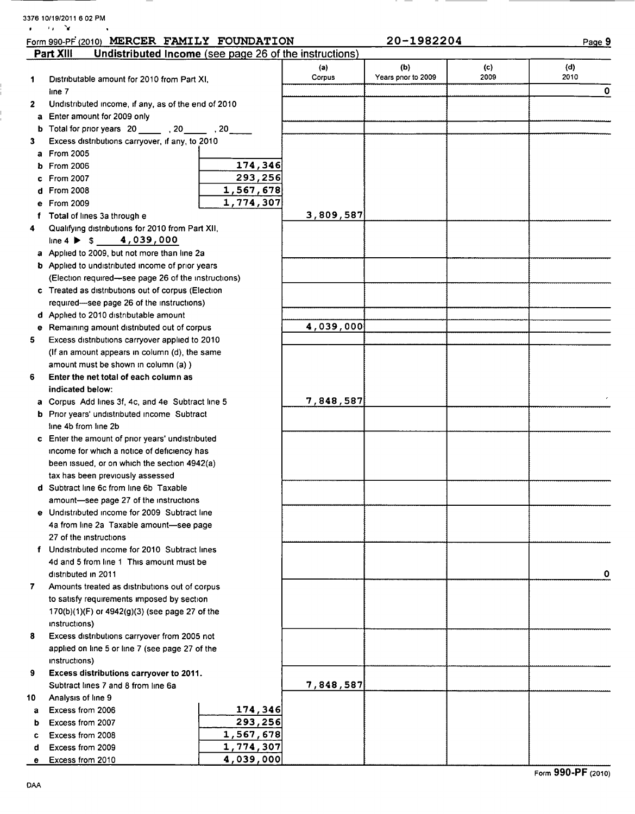|    | Form 990-PF (2010) MERCER FAMILY FOUNDATION                                                  |               | 20-1982204                |             | Page 9      |
|----|----------------------------------------------------------------------------------------------|---------------|---------------------------|-------------|-------------|
|    | Part XIII<br>Undistributed Income (see page 26 of the instructions)                          |               |                           |             |             |
| 1  | Distributable amount for 2010 from Part XI,                                                  | (a)<br>Corpus | (b)<br>Years pnor to 2009 | (c)<br>2009 | (d)<br>2010 |
|    | line 7                                                                                       |               |                           |             | 0           |
| 2  | Undistributed income, if any, as of the end of 2010                                          |               |                           |             |             |
| a  | Enter amount for 2009 only                                                                   |               |                           |             |             |
|    | b Total for prior years 20 _______ , 20 ______ , 20 _____                                    |               |                           |             |             |
| 3  | Excess distributions carryover, if any, to 2010                                              |               |                           |             |             |
| a  | From 2005                                                                                    |               |                           |             |             |
| ь  | 174,346<br>From 2006                                                                         |               |                           |             |             |
|    | 293,256<br><b>From 2007</b>                                                                  |               |                           |             |             |
| d  | 1,567,678<br>From 2008                                                                       |               |                           |             |             |
| е  | 1,774,307<br><b>From 2009</b>                                                                |               |                           |             |             |
| f  | Total of lines 3a through e                                                                  | 3,809,587     |                           |             |             |
| 4  | Qualifying distributions for 2010 from Part XII,                                             |               |                           |             |             |
|    | line 4 $\triangleright$ \$ 4,039,000                                                         |               |                           |             |             |
|    | a Applied to 2009, but not more than line 2a                                                 |               |                           |             |             |
|    | <b>b</b> Applied to undistributed income of prior years                                      |               |                           |             |             |
|    | (Election required-see page 26 of the instructions)                                          |               |                           |             |             |
|    | c Treated as distributions out of corpus (Election                                           |               |                           |             |             |
|    | required-see page 26 of the instructions)                                                    |               |                           |             |             |
|    | d Applied to 2010 distributable amount                                                       |               |                           |             |             |
| е  | Remaining amount distributed out of corpus                                                   | 4,039,000     |                           |             |             |
| 5  | Excess distributions carryover applied to 2010                                               |               |                           |             |             |
|    | (If an amount appears in column (d), the same                                                |               |                           |             |             |
|    | amount must be shown in column (a) )                                                         |               |                           |             |             |
| 6  | Enter the net total of each column as                                                        |               |                           |             |             |
|    | indicated below:                                                                             |               |                           |             |             |
|    | a Corpus Add lines 3f, 4c, and 4e Subtract line 5                                            | 7,848,587     |                           |             |             |
|    | <b>b</b> Prior years' undistributed income Subtract                                          |               |                           |             |             |
|    | line 4b from line 2b                                                                         |               |                           |             |             |
|    | c Enter the amount of prior years' undistributed                                             |               |                           |             |             |
|    | income for which a notice of deficiency has                                                  |               |                           |             |             |
|    | been issued, or on which the section 4942(a)                                                 |               |                           |             |             |
|    | tax has been previously assessed                                                             |               |                           |             |             |
|    | d Subtract line 6c from line 6b Taxable                                                      |               |                           |             |             |
|    | amount-see page 27 of the instructions                                                       |               |                           |             |             |
|    | e Undistributed income for 2009 Subtract line                                                |               |                           |             |             |
|    | 4a from line 2a Taxable amount-see page                                                      |               |                           |             |             |
|    | 27 of the instructions                                                                       |               |                           |             |             |
|    | f Undistributed income for 2010 Subtract lines                                               |               |                           |             |             |
|    | 4d and 5 from line 1 This amount must be                                                     |               |                           |             | 0           |
| 7  | distributed in 2011                                                                          |               |                           |             |             |
|    | Amounts treated as distributions out of corpus<br>to satisfy requirements imposed by section |               |                           |             |             |
|    |                                                                                              |               |                           |             |             |
|    | $170(b)(1)(F)$ or $4942(g)(3)$ (see page 27 of the                                           |               |                           |             |             |
| 8  | instructions)<br>Excess distributions carryover from 2005 not                                |               |                           |             |             |
|    | applied on line 5 or line 7 (see page 27 of the                                              |               |                           |             |             |
|    | instructions)                                                                                |               |                           |             |             |
| 9  | Excess distributions carryover to 2011.                                                      |               |                           |             |             |
|    | Subtract lines 7 and 8 from line 6a                                                          | 7,848,587     |                           |             |             |
| 10 | Analysis of line 9                                                                           |               |                           |             |             |
| a  | 174,346<br>Excess from 2006                                                                  |               |                           |             |             |
| b  | 293,256<br>Excess from 2007                                                                  |               |                           |             |             |
| c  | 1,567,678<br>Excess from 2008                                                                |               |                           |             |             |
| d  | 1,774,307<br>Excess from 2009                                                                |               |                           |             |             |
|    | 4,039,000<br>Excess from 2010                                                                |               |                           |             |             |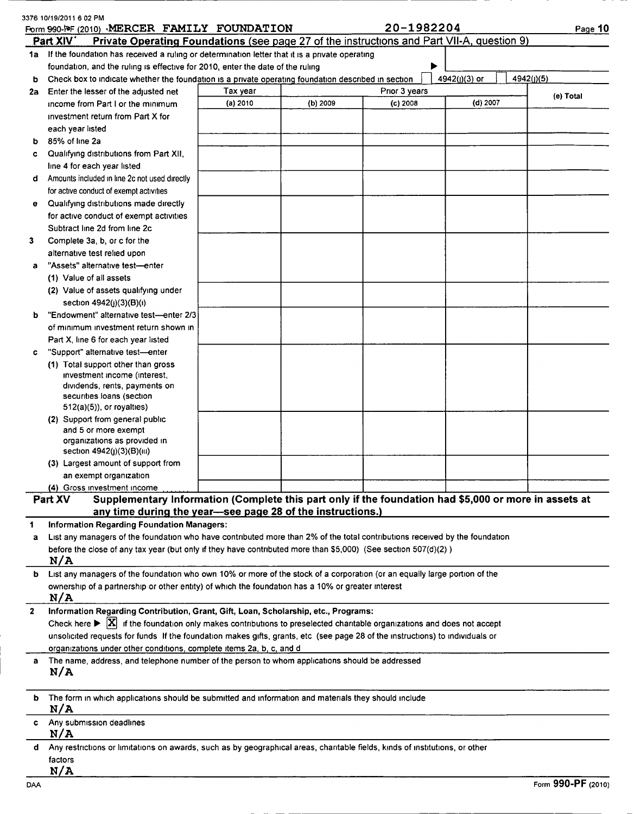|              | Form 990-PF (2010) MERCER FAMILY FOUNDATION<br>Part XIV<br>Private Operating Foundations (see page 27 of the instructions and Part VII-A, question 9) |          |          | 20-1982204    |               | Page 10    |
|--------------|-------------------------------------------------------------------------------------------------------------------------------------------------------|----------|----------|---------------|---------------|------------|
|              | 1a If the foundation has received a ruling or determination letter that it is a private operating                                                     |          |          |               |               |            |
|              | foundation, and the ruling is effective for 2010, enter the date of the ruling                                                                        |          |          |               |               |            |
| ь            | Check box to indicate whether the foundation is a private operating foundation described in section                                                   |          |          |               | 4942(j)(3) or | 4942(J)(5) |
|              | 2a Enter the lesser of the adjusted net                                                                                                               | Tax year |          | Prior 3 years |               |            |
|              | income from Part I or the minimum                                                                                                                     | (a) 2010 | (b) 2009 | $(c)$ 2008    | (d) 2007      | (e) Total  |
|              | investment return from Part X for                                                                                                                     |          |          |               |               |            |
|              | each year listed                                                                                                                                      |          |          |               |               |            |
| b            | 85% of line 2a                                                                                                                                        |          |          |               |               |            |
| c            | Qualifying distributions from Part XII,                                                                                                               |          |          |               |               |            |
|              | line 4 for each year listed                                                                                                                           |          |          |               |               |            |
| d            | Amounts included in line 2c not used directly                                                                                                         |          |          |               |               |            |
|              | for active conduct of exempt activities                                                                                                               |          |          |               |               |            |
| е            | Qualifying distributions made directly                                                                                                                |          |          |               |               |            |
|              | for active conduct of exempt activities                                                                                                               |          |          |               |               |            |
|              | Subtract line 2d from line 2c                                                                                                                         |          |          |               |               |            |
| 3            | Complete 3a, b, or c for the                                                                                                                          |          |          |               |               |            |
|              | alternative test relied upon                                                                                                                          |          |          |               |               |            |
| a            | "Assets" alternative test-enter                                                                                                                       |          |          |               |               |            |
|              | (1) Value of all assets                                                                                                                               |          |          |               |               |            |
|              | (2) Value of assets qualifying under<br>section 4942(j)(3)(B)(i)                                                                                      |          |          |               |               |            |
| b            | "Endowment" alternative test-enter 2/3                                                                                                                |          |          |               |               |            |
|              | of minimum investment return shown in                                                                                                                 |          |          |               |               |            |
|              | Part X, line 6 for each year listed                                                                                                                   |          |          |               |               |            |
| c            | "Support" alternative test-enter                                                                                                                      |          |          |               |               |            |
|              | (1) Total support other than gross                                                                                                                    |          |          |               |               |            |
|              | investment income (interest,                                                                                                                          |          |          |               |               |            |
|              | dividends, rents, payments on                                                                                                                         |          |          |               |               |            |
|              | securities loans (section                                                                                                                             |          |          |               |               |            |
|              | $512(a)(5)$ , or royalties)                                                                                                                           |          |          |               |               |            |
|              | (2) Support from general public<br>and 5 or more exempt                                                                                               |          |          |               |               |            |
|              | organizations as provided in                                                                                                                          |          |          |               |               |            |
|              | section 4942(j)(3)(B)(iii)                                                                                                                            |          |          |               |               |            |
|              | (3) Largest amount of support from                                                                                                                    |          |          |               |               |            |
|              | an exempt organization                                                                                                                                |          |          |               |               |            |
|              | (4) Gross investment income                                                                                                                           |          |          |               |               |            |
|              | Supplementary Information (Complete this part only if the foundation had \$5,000 or more in assets at<br>Part XV                                      |          |          |               |               |            |
|              | any time during the year-see page 28 of the instructions.)                                                                                            |          |          |               |               |            |
| 1            | <b>Information Regarding Foundation Managers:</b>                                                                                                     |          |          |               |               |            |
| a            | List any managers of the foundation who have contributed more than 2% of the total contributions received by the foundation                           |          |          |               |               |            |
|              | before the close of any tax year (but only if they have contributed more than \$5,000) (See section 507(d)(2))                                        |          |          |               |               |            |
|              | N/A                                                                                                                                                   |          |          |               |               |            |
| b            | List any managers of the foundation who own 10% or more of the stock of a corporation (or an equally large portion of the                             |          |          |               |               |            |
|              | ownership of a partnership or other entity) of which the foundation has a 10% or greater interest                                                     |          |          |               |               |            |
|              | N/A                                                                                                                                                   |          |          |               |               |            |
| $\mathbf{2}$ | Information Regarding Contribution, Grant, Gift, Loan, Scholarship, etc., Programs:                                                                   |          |          |               |               |            |
|              | Check here $\blacktriangleright$ $\mathbf{X}$ if the foundation only makes contributions to preselected charitable organizations and does not accept  |          |          |               |               |            |
|              | unsolicited requests for funds If the foundation makes gifts, grants, etc (see page 28 of the instructions) to individuals or                         |          |          |               |               |            |
|              | organizations under other conditions, complete items 2a, b, c, and d                                                                                  |          |          |               |               |            |
| a            | The name, address, and telephone number of the person to whom applications should be addressed<br>N/A                                                 |          |          |               |               |            |
|              |                                                                                                                                                       |          |          |               |               |            |
| b            | The form in which applications should be submitted and information and materials they should include<br>N/A                                           |          |          |               |               |            |
| c            | Any submission deadlines<br>N/A                                                                                                                       |          |          |               |               |            |
| d            | Any restrictions or limitations on awards, such as by geographical areas, charitable fields, kinds of institutions, or other                          |          |          |               |               |            |
|              | factors                                                                                                                                               |          |          |               |               |            |
|              | N/A                                                                                                                                                   |          |          |               |               |            |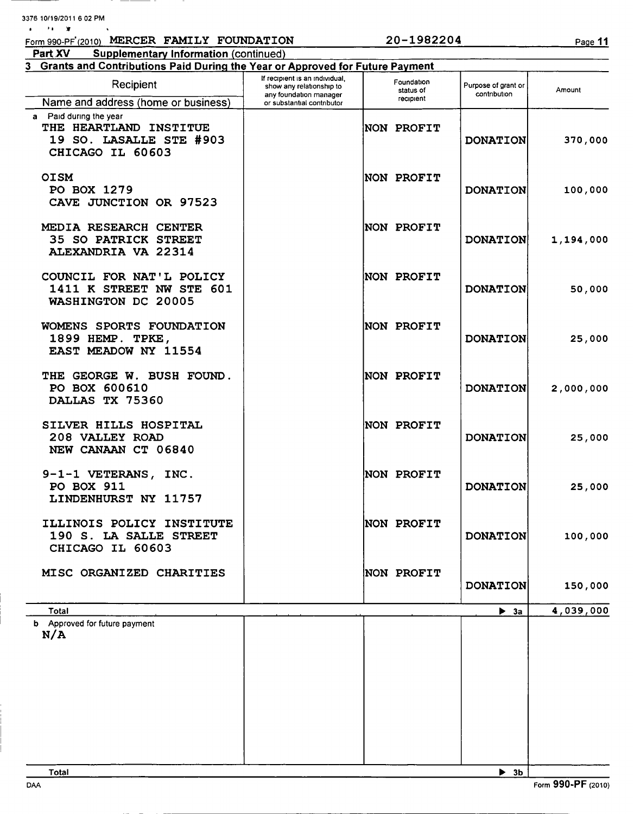| 3376 10/19/2011 6 02 PM |  |
|-------------------------|--|
|-------------------------|--|

| Form 990-PF (2010) MERCER FAMILY FOUNDATION                                                     |                                                    | 20-1982204              |                                     | Page 11   |
|-------------------------------------------------------------------------------------------------|----------------------------------------------------|-------------------------|-------------------------------------|-----------|
| Part XV<br><b>Supplementary Information (continued)</b>                                         |                                                    |                         |                                     |           |
| 3 Grants and Contributions Paid During the Year or Approved for Future Payment                  | If recipient is an individual,                     |                         |                                     |           |
| Recipient                                                                                       | show any relationship to<br>any foundation manager | Foundation<br>status of | Purpose of grant or<br>contribution | Amount    |
| Name and address (home or business)                                                             | or substantial contributor                         | recipient               |                                     |           |
| a Paid during the year<br>THE HEARTLAND INSTITUE<br>19 SO. LASALLE STE #903<br>CHICAGO IL 60603 |                                                    | <b>NON PROFIT</b>       | <b>DONATION</b>                     | 370,000   |
| <b>OISM</b><br>PO BOX 1279<br>CAVE JUNCTION OR 97523                                            |                                                    | <b>NON PROFIT</b>       | <b>DONATION</b>                     | 100,000   |
| MEDIA RESEARCH CENTER<br><b>35 SO PATRICK STREET</b><br>ALEXANDRIA VA 22314                     |                                                    | NON PROFIT              | <b>DONATION</b>                     | 1,194,000 |
| COUNCIL FOR NAT'L POLICY<br>1411 K STREET NW STE 601<br>WASHINGTON DC 20005                     |                                                    | NON PROFIT              | <b>DONATION</b>                     | 50,000    |
| WOMENS SPORTS FOUNDATION<br>1899 HEMP. TPKE,<br><b>EAST MEADOW NY 11554</b>                     |                                                    | NON PROFIT              | <b>DONATION</b>                     | 25,000    |
| THE GEORGE W. BUSH FOUND.<br>PO BOX 600610<br>DALLAS TX 75360                                   |                                                    | <b>NON PROFIT</b>       | <b>DONATION</b>                     | 2,000,000 |
| SILVER HILLS HOSPITAL<br>208 VALLEY ROAD<br>NEW CANAAN CT 06840                                 |                                                    | NON PROFIT              | <b>DONATION</b>                     | 25,000    |
| 9-1-1 VETERANS, INC.<br>PO BOX 911<br>LINDENHURST NY 11757                                      |                                                    | NON PROFIT              | <b>DONATION</b>                     | 25,000    |
| ILLINOIS POLICY INSTITUTE<br>190 S. LA SALLE STREET<br>CHICAGO IL 60603                         |                                                    | NON PROFIT              | <b>DONATION</b>                     | 100,000   |
| MISC ORGANIZED CHARITIES                                                                        |                                                    | NON PROFIT              | <b>DONATION</b>                     | 150,000   |
| Total                                                                                           |                                                    |                         | $\blacktriangleright$ 3a            | 4,039,000 |
| <b>b</b> Approved for future payment<br>N/A                                                     |                                                    |                         |                                     |           |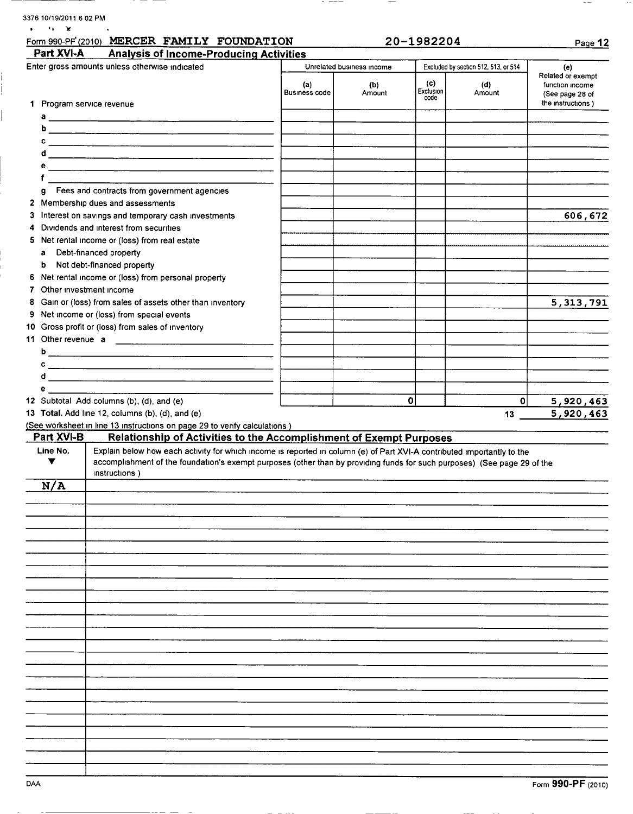| Part XVI-A<br>1<br>Program service revenue                                                                      | <b>Analysis of Income-Producing Activities</b><br>Enter gross amounts unless otherwise indicated                                                                                                                                                                     | (a)                  | Unrelated business income |                          |                                      |                                                                                     |
|-----------------------------------------------------------------------------------------------------------------|----------------------------------------------------------------------------------------------------------------------------------------------------------------------------------------------------------------------------------------------------------------------|----------------------|---------------------------|--------------------------|--------------------------------------|-------------------------------------------------------------------------------------|
|                                                                                                                 |                                                                                                                                                                                                                                                                      |                      |                           |                          | Excluded by section 512, 513, or 514 |                                                                                     |
|                                                                                                                 |                                                                                                                                                                                                                                                                      | <b>Business code</b> | (b)<br>Amount             | (c)<br>Exclusion<br>code | (d)<br>Amount                        | (e)<br>Related or exempt<br>function income<br>(See page 28 of<br>the instructions) |
|                                                                                                                 |                                                                                                                                                                                                                                                                      |                      |                           |                          |                                      |                                                                                     |
|                                                                                                                 |                                                                                                                                                                                                                                                                      |                      |                           |                          |                                      |                                                                                     |
|                                                                                                                 |                                                                                                                                                                                                                                                                      |                      |                           |                          |                                      |                                                                                     |
|                                                                                                                 |                                                                                                                                                                                                                                                                      |                      |                           |                          |                                      |                                                                                     |
|                                                                                                                 |                                                                                                                                                                                                                                                                      |                      |                           |                          |                                      |                                                                                     |
|                                                                                                                 |                                                                                                                                                                                                                                                                      |                      |                           |                          |                                      |                                                                                     |
|                                                                                                                 | g Fees and contracts from government agencies<br>2 Membership dues and assessments                                                                                                                                                                                   |                      |                           |                          |                                      |                                                                                     |
| 3                                                                                                               | Interest on savings and temporary cash investments                                                                                                                                                                                                                   |                      |                           |                          |                                      | 606,672                                                                             |
| 4                                                                                                               | Dividends and interest from securities                                                                                                                                                                                                                               |                      |                           |                          |                                      |                                                                                     |
| 5                                                                                                               | Net rental income or (loss) from real estate                                                                                                                                                                                                                         |                      |                           |                          |                                      |                                                                                     |
| Debt-financed property<br>a                                                                                     |                                                                                                                                                                                                                                                                      |                      |                           |                          |                                      |                                                                                     |
| b                                                                                                               | Not debt-financed property                                                                                                                                                                                                                                           |                      |                           |                          |                                      |                                                                                     |
| 6                                                                                                               | Net rental income or (loss) from personal property                                                                                                                                                                                                                   |                      |                           |                          |                                      |                                                                                     |
| Other investment income<br>7                                                                                    |                                                                                                                                                                                                                                                                      |                      |                           |                          |                                      |                                                                                     |
| 8<br>9                                                                                                          | Gain or (loss) from sales of assets other than inventory<br>Net income or (loss) from special events                                                                                                                                                                 |                      |                           |                          |                                      | 5, 313, 791                                                                         |
| 10                                                                                                              | Gross profit or (loss) from sales of inventory                                                                                                                                                                                                                       |                      |                           |                          |                                      |                                                                                     |
|                                                                                                                 |                                                                                                                                                                                                                                                                      |                      |                           |                          |                                      |                                                                                     |
|                                                                                                                 |                                                                                                                                                                                                                                                                      |                      |                           |                          |                                      |                                                                                     |
|                                                                                                                 |                                                                                                                                                                                                                                                                      |                      |                           |                          |                                      |                                                                                     |
|                                                                                                                 |                                                                                                                                                                                                                                                                      |                      |                           |                          |                                      |                                                                                     |
| e a service and the service of the series of the series of the series of the series of the series of the series |                                                                                                                                                                                                                                                                      |                      |                           |                          |                                      |                                                                                     |
|                                                                                                                 | 12 Subtotal Add columns (b), (d), and (e)                                                                                                                                                                                                                            |                      |                           | $\mathbf o$              | 0                                    | 5,920,463                                                                           |
|                                                                                                                 | 13 Total. Add line 12, columns (b), (d), and (e)<br>(See worksheet in line 13 instructions on page 29 to verify calculations)                                                                                                                                        |                      |                           |                          | 13                                   | 5,920,463                                                                           |
| Part XVI-B                                                                                                      | <b>Relationship of Activities to the Accomplishment of Exempt Purposes</b>                                                                                                                                                                                           |                      |                           |                          |                                      |                                                                                     |
| Line No.<br>▼                                                                                                   | Explain below how each activity for which income is reported in column (e) of Part XVI-A contributed importantly to the<br>accomplishment of the foundation's exempt purposes (other than by providing funds for such purposes) (See page 29 of the<br>instructions) |                      |                           |                          |                                      |                                                                                     |
| N/A                                                                                                             |                                                                                                                                                                                                                                                                      |                      |                           |                          |                                      |                                                                                     |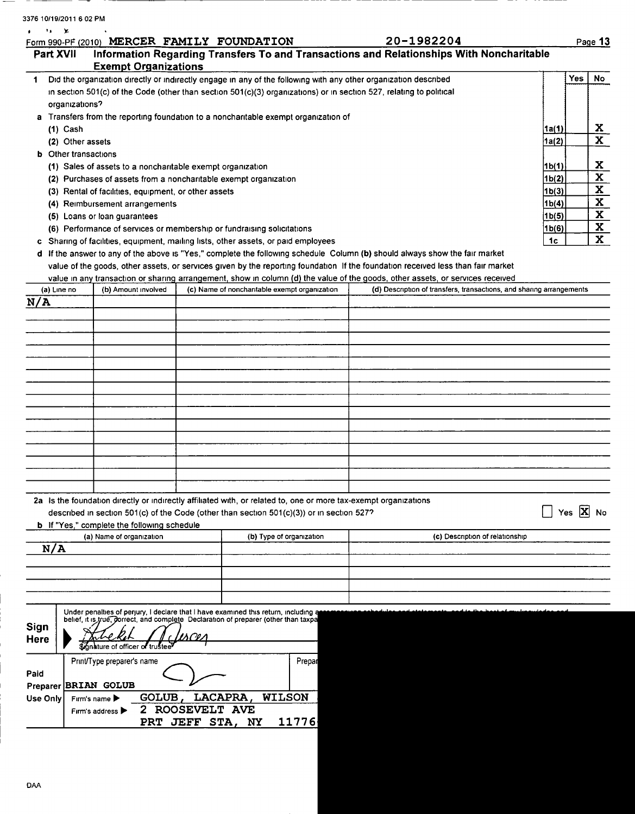| 3376 10/19/2011 6 02 PM<br>٠.<br>Y. |                                                                  |                                                                                                                     |                                                                                                                                  |                    |            |                            |
|-------------------------------------|------------------------------------------------------------------|---------------------------------------------------------------------------------------------------------------------|----------------------------------------------------------------------------------------------------------------------------------|--------------------|------------|----------------------------|
|                                     | Form 990-PF (2010) MERCER FAMILY FOUNDATION                      |                                                                                                                     | 20-1982204                                                                                                                       |                    |            | Page 13                    |
| Part XVII                           | <b>Exempt Organizations</b>                                      |                                                                                                                     | Information Regarding Transfers To and Transactions and Relationships With Noncharitable                                         |                    |            |                            |
| 1.                                  |                                                                  | Did the organization directly or indirectly engage in any of the following with any other organization described    |                                                                                                                                  |                    | Yes        | No.                        |
|                                     |                                                                  | in section 501(c) of the Code (other than section 501(c)(3) organizations) or in section 527, relating to political |                                                                                                                                  |                    |            |                            |
| organizations?                      |                                                                  |                                                                                                                     |                                                                                                                                  |                    |            |                            |
| $(1)$ Cash                          |                                                                  | a Transfers from the reporting foundation to a noncharitable exempt organization of                                 |                                                                                                                                  | 1a(1)              |            | X                          |
| (2) Other assets                    |                                                                  |                                                                                                                     |                                                                                                                                  | 1a(2)              |            | $\mathbf x$                |
| <b>b</b> Other transactions         |                                                                  |                                                                                                                     |                                                                                                                                  |                    |            |                            |
|                                     | (1) Sales of assets to a noncharitable exempt organization       |                                                                                                                     |                                                                                                                                  | 1b(1)              |            | X                          |
|                                     | (2) Purchases of assets from a noncharitable exempt organization |                                                                                                                     |                                                                                                                                  | 1 <sub>b</sub> (2) |            | $\mathbf x$                |
|                                     | (3) Rental of facilities, equipment, or other assets             |                                                                                                                     |                                                                                                                                  | 1 <sub>b(3)</sub>  |            | $\mathbf x$                |
|                                     | (4) Reimbursement arrangements                                   |                                                                                                                     |                                                                                                                                  | 1b(4)              |            | $\mathbf x$<br>$\mathbf x$ |
|                                     | (5) Loans or loan guarantees                                     | (6) Performance of services or membership or fundraising solicitations                                              |                                                                                                                                  | 1b(5)<br>1b(6)     |            | X                          |
|                                     |                                                                  | c Sharing of facilities, equipment, mailing lists, other assets, or paid employees                                  |                                                                                                                                  | 1c                 |            | $\mathbf{x}$               |
|                                     |                                                                  |                                                                                                                     | d If the answer to any of the above is "Yes," complete the following schedule Column (b) should always show the fair market      |                    |            |                            |
|                                     |                                                                  |                                                                                                                     | value of the goods, other assets, or services given by the reporting foundation If the foundation received less than fair market |                    |            |                            |
|                                     |                                                                  |                                                                                                                     | value in any transaction or sharing arrangement, show in column (d) the value of the goods, other assets, or services received   |                    |            |                            |
| (a) Line no                         | (b) Amount involved                                              | (c) Name of noncharitable exempt organization                                                                       | (d) Description of transfers, transactions, and sharing arrangements                                                             |                    |            |                            |
| N/A                                 |                                                                  |                                                                                                                     |                                                                                                                                  |                    |            |                            |
|                                     |                                                                  |                                                                                                                     |                                                                                                                                  |                    |            |                            |
|                                     |                                                                  |                                                                                                                     |                                                                                                                                  |                    |            |                            |
|                                     |                                                                  |                                                                                                                     |                                                                                                                                  |                    |            |                            |
|                                     |                                                                  |                                                                                                                     |                                                                                                                                  |                    |            |                            |
|                                     |                                                                  |                                                                                                                     |                                                                                                                                  |                    |            |                            |
|                                     |                                                                  |                                                                                                                     |                                                                                                                                  |                    |            |                            |
|                                     |                                                                  |                                                                                                                     |                                                                                                                                  |                    |            |                            |
|                                     |                                                                  |                                                                                                                     |                                                                                                                                  |                    |            |                            |
|                                     |                                                                  |                                                                                                                     |                                                                                                                                  |                    |            |                            |
|                                     |                                                                  |                                                                                                                     |                                                                                                                                  |                    |            |                            |
|                                     |                                                                  |                                                                                                                     |                                                                                                                                  |                    |            |                            |
|                                     |                                                                  |                                                                                                                     |                                                                                                                                  |                    |            |                            |
|                                     |                                                                  |                                                                                                                     |                                                                                                                                  |                    |            |                            |
|                                     |                                                                  | 2a Is the foundation directly or indirectly affiliated with, or related to, one or more tax-exempt organizations    |                                                                                                                                  |                    | Yes $X$ No |                            |
|                                     | <b>b</b> If "Yes," complete the following schedule               | described in section 501(c) of the Code (other than section $501(c)(3)$ ) or in section 527?                        |                                                                                                                                  |                    |            |                            |
|                                     | (a) Name of organization                                         | (b) Type of organization                                                                                            | (c) Description of relationship                                                                                                  |                    |            |                            |
| N/A                                 |                                                                  |                                                                                                                     |                                                                                                                                  |                    |            |                            |
|                                     |                                                                  |                                                                                                                     |                                                                                                                                  |                    |            |                            |
|                                     |                                                                  |                                                                                                                     |                                                                                                                                  |                    |            |                            |
|                                     |                                                                  |                                                                                                                     |                                                                                                                                  |                    |            |                            |
|                                     |                                                                  | Under penalties of perjury, I declare that I have examined this return, including a                                 |                                                                                                                                  |                    |            |                            |
|                                     |                                                                  | belief, it is true, dorrect, and complete Declaration of preparer (other than taxpa                                 |                                                                                                                                  |                    |            |                            |
| <b>Sign</b>                         |                                                                  |                                                                                                                     |                                                                                                                                  |                    |            |                            |
| Here                                | ature of officer of trustee                                      |                                                                                                                     |                                                                                                                                  |                    |            |                            |
|                                     | Print/Type preparer's name                                       | Prepar                                                                                                              |                                                                                                                                  |                    |            |                            |
| Paid                                |                                                                  |                                                                                                                     |                                                                                                                                  |                    |            |                            |
| Preparer BRIAN GOLUB                |                                                                  |                                                                                                                     |                                                                                                                                  |                    |            |                            |
| Use Only                            | GOLUB,<br>Firm's name                                            | LACAPRA,<br><b>WILSON</b>                                                                                           |                                                                                                                                  |                    |            |                            |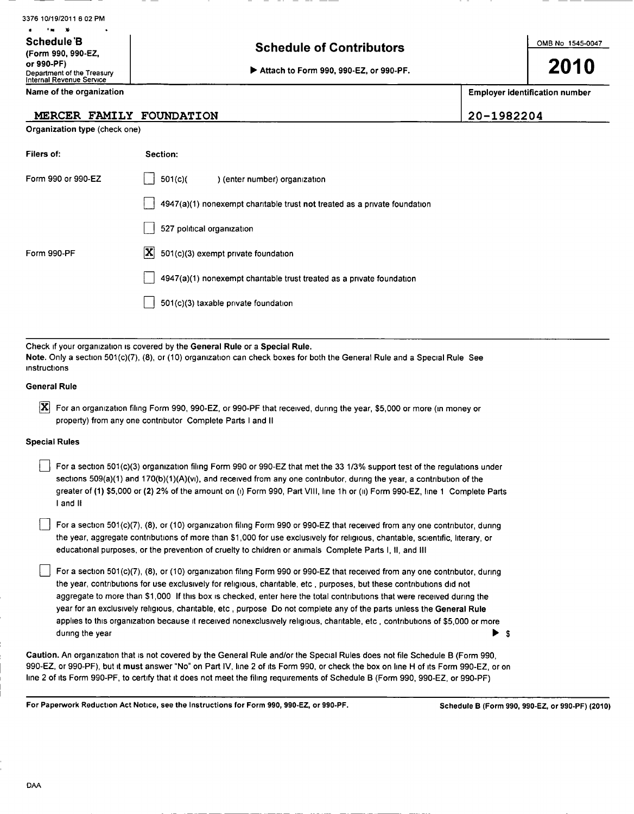| 3376 10/19/2011 6 02 PM                                              |                                        |                                       |
|----------------------------------------------------------------------|----------------------------------------|---------------------------------------|
| . .<br>Schedule B<br>(Form 990, 990-EZ,                              | <b>Schedule of Contributors</b>        | OMB No 1545-0047                      |
| or 990-PF)<br>Department of the Treasury<br>Internal Revenue Service | Attach to Form 990, 990-EZ, or 990-PF. | 2010                                  |
| Name of the organization                                             |                                        | <b>Employer identification number</b> |

## MERCER FAMILY FOUNDATION 20-1982204

Organization type (check one)

| Filers of:         | Section:                                                                  |
|--------------------|---------------------------------------------------------------------------|
| Form 990 or 990-EZ | 501(c)<br>) (enter number) organization                                   |
|                    | 4947(a)(1) nonexempt charitable trust not treated as a private foundation |
|                    | 527 political organization                                                |
| Form 990-PF        | $ \mathbf{X} $ 501(c)(3) exempt private foundation                        |
|                    | 4947(a)(1) nonexempt charitable trust treated as a private foundation     |
|                    | 501(c)(3) taxable private foundation                                      |

Check if your organization is covered by the General Rule or a Special Rule. Note. Only a section 501(c)(7), (8), or (10) organization can check boxes for both the General Rule and a Special Rule See Instructions

### General Rule

IX For an organization filing Form 990, 990-EZ, or 990-PF that received, during the year, \$5,000 or more (in money or property) from any one contributor Complete Parts <sup>I</sup> and II

### Special Rules

For a section 501(c)(3) organization filing Form 990 or 990-EZ that met the 33 1/3% support test of the regulations under sections 509(a)(1) and 170(b)(1)(A)(vi), and received from any one contributor, during the year, a contribution of the greater of (1) \$5,000 or (2) 2% of the amount on (i) Form 990, Part VIII, line 1h or (ii) Form 990-EZ, line 1 Complete Parts <sup>I</sup> and II

For a section 501(c)(7), (8), or (10) organization filing Form 990 or 990-EZ that received from any one contributor, during the year, aggregate contributions of more than \$1,000 for use exclusively for religious, charitable, scientific, literary, or educational purposes, or the prevention of cruelty to children or animals Complete Parts I, II, and III

For a section 501(c)(7), (8), or (10) organization filing Form 990 or 990-EZ that received from any one contributor, during the year, contributions for use exclusively for religious, charitable, etc , purposes, but these contributions did not aggregate to more than \$1,000 If this box is checked, enter here the total contributions that were received during the year for an exclusively religious, charitable, etc , purpose Do not complete any of the parts unless the General Rule applies to this organization because it received nonexclusively religious, charitable, etc , contributions of \$5,000 or more during the year  $\triangleright$  \$

Caution. An organization that is not covered by the General Rule and/or the Special Rules does not file Schedule B (Form 990, 990-EZ, or 990-PF), but it must answer "No" on Part IV, line <sup>2</sup> of its Form 990, or check the box on line H of Its Form 990-EZ, or on line 2 of its Form 990-PF, to certify that it does not meet the filing requirements of Schedule B (Form 990, 990-EZ, or 990-PF)

For Paperwork Reduction Act Notice, see the Instructions for Form 990, 990-EZ, or 990-PF. Schedule B (Form 990 , 990-EZ, or 990 -PF) (2010)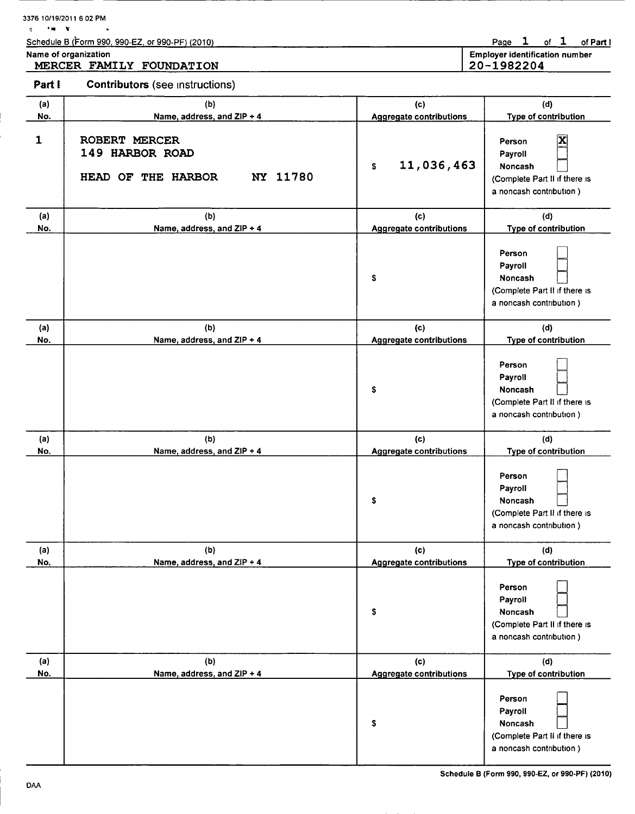|            | Schedule B (Form 990, 990-EZ, or 990-PF) (2010)<br>Name of organization<br>MERCER FAMILY FOUNDATION |                                       | of $1$<br>Page $1$<br>of Part I<br><b>Employer identification number</b><br>20-1982204                              |
|------------|-----------------------------------------------------------------------------------------------------|---------------------------------------|---------------------------------------------------------------------------------------------------------------------|
| Part I     | <b>Contributors</b> (see instructions)                                                              |                                       |                                                                                                                     |
| (a)<br>No. | (b)<br>Name, address, and ZIP + 4                                                                   | (c)<br><b>Aggregate contributions</b> | (d)<br>Type of contribution                                                                                         |
| 1          | ROBERT MERCER<br>149 HARBOR ROAD<br>NY 11780<br>HEAD OF THE HARBOR                                  | 11,036,463<br>\$                      | $\mathbf{\overline{x}}$<br>Person<br>Payroll<br>Noncash<br>(Complete Part II if there is<br>a noncash contribution) |
| (a)<br>No. | (b)<br>Name, address, and ZIP + 4                                                                   | (c)<br><b>Aggregate contributions</b> | (d)<br><b>Type of contribution</b>                                                                                  |
|            |                                                                                                     | \$                                    | Person<br>Payroll<br>Noncash<br>(Complete Part II if there is<br>a noncash contribution)                            |
| (a)<br>No. | (b)<br>Name, address, and ZIP + 4                                                                   | (c)<br><b>Aggregate contributions</b> | (d)<br>Type of contribution                                                                                         |
|            |                                                                                                     | \$                                    | Person<br>Payroll<br><b>Noncash</b><br>(Complete Part II if there is<br>a noncash contribution)                     |
| (a)<br>No. | (b)<br>Name, address, and ZIP + 4                                                                   | (c)<br><b>Aggregate contributions</b> | (d)<br>Type of contribution                                                                                         |
|            |                                                                                                     | \$                                    | Person<br>Payroll<br>Noncash<br>(Complete Part II if there is<br>a noncash contribution)                            |
| (a)<br>No. | (b)<br>Name, address, and ZIP + 4                                                                   | (c)<br><b>Aggregate contributions</b> | (d)<br>Type of contribution                                                                                         |
|            |                                                                                                     | \$                                    | Person<br>Payroll<br>Noncash<br>(Complete Part II if there is<br>a noncash contribution)                            |
| (a)<br>No. | (b)<br>Name, address, and ZIP + 4                                                                   | (c)<br><b>Aggregate contributions</b> | (d)<br><b>Type of contribution</b>                                                                                  |
|            |                                                                                                     | \$                                    | Person<br>Payroll<br>Noncash<br>(Complete Part II if there is                                                       |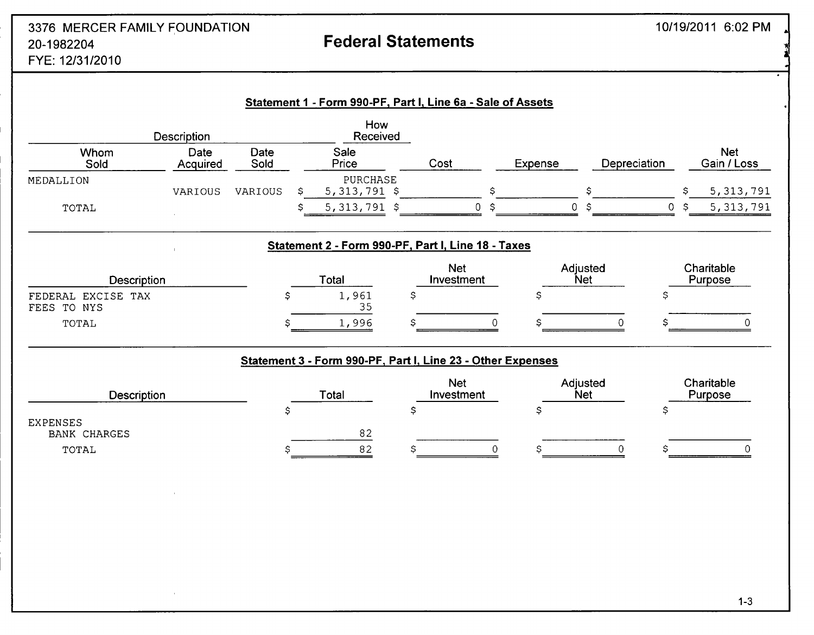## and the state of the state of the state of the state of the state of the state of the state of the state of the state of the state of the state of the state of the state of the state of the state of the state of the state 20-1982204 Federal Statements  $10<sup>1</sup>$

| FYE: 12/31/201 |  |
|----------------|--|
|                |  |

|                                        | Description      |              |   | How<br>Received                                             |                          |    |                        |              |              |    |                           |
|----------------------------------------|------------------|--------------|---|-------------------------------------------------------------|--------------------------|----|------------------------|--------------|--------------|----|---------------------------|
| Whom<br>Sold                           | Date<br>Acquired | Date<br>Sold |   | Sale<br>Price                                               | Cost                     |    | Expense                | Depreciation |              |    | <b>Net</b><br>Gain / Loss |
| MEDALLION                              | VARIOUS          | VARIOUS      | S | PURCHASE<br>$5,313,791$ \$                                  |                          | \$ |                        | \$           |              | Ś  | 5, 313, 791               |
| TOTAL                                  |                  |              |   | $5,313,791$ \$                                              | $\mathsf 0$              | \$ | $\mathsf{O}\xspace$    | S            | $\mathbf{0}$ | -S | 5, 313, 791               |
|                                        |                  |              |   | Statement 2 - Form 990-PF, Part I, Line 18 - Taxes          |                          |    |                        |              |              |    |                           |
| Description                            |                  |              |   | Total                                                       | <b>Net</b><br>Investment |    | Adjusted<br><b>Net</b> |              |              |    | Charitable<br>Purpose     |
| FEDERAL EXCISE TAX<br>TO NYS<br>FEES   |                  | Ş            |   | 1,961<br>35                                                 | \$                       |    | \$                     |              | \$           |    |                           |
| TOTAL                                  |                  | S            |   | 1,996                                                       |                          | ∩  |                        | 0            |              |    |                           |
|                                        |                  |              |   | Statement 3 - Form 990-PF, Part I, Line 23 - Other Expenses |                          |    |                        |              |              |    |                           |
| <b>Description</b>                     |                  |              |   | Total                                                       | <b>Net</b><br>Investment |    | Adjusted<br><b>Net</b> |              |              |    | Charitable<br>Purpose     |
| <b>EXPENSES</b><br><b>BANK CHARGES</b> |                  | \$           |   | 82                                                          | Ś                        |    | \$                     |              | \$           |    |                           |
| TOTAL                                  |                  | S            |   | 82                                                          |                          | 0  | S                      |              |              |    |                           |